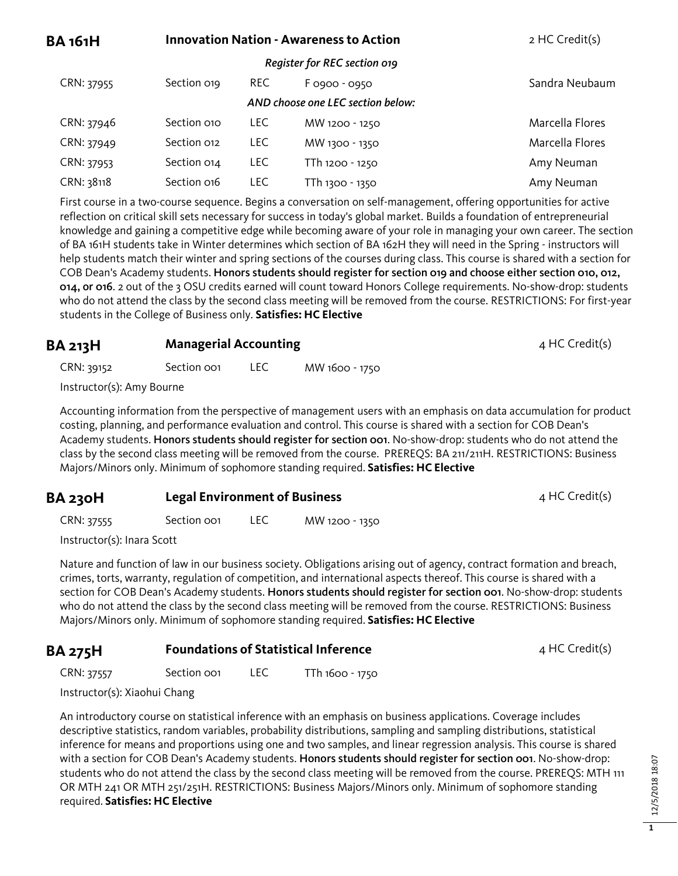| <b>BA 161H</b> | <b>Innovation Nation - Awareness to Action</b> | 2 HC Credit(s) |                                   |                 |
|----------------|------------------------------------------------|----------------|-----------------------------------|-----------------|
|                |                                                |                | Register for REC section 019      |                 |
| CRN: 37955     | Section 019                                    | REC            | F 0900 - 0950                     | Sandra Neubaum  |
|                |                                                |                | AND choose one LEC section below: |                 |
| CRN: 37946     | Section 010                                    | <b>LEC</b>     | MW 1200 - 1250                    | Marcella Flores |
| CRN: 37949     | Section 012                                    | LEC.           | MW 1300 - 1350                    | Marcella Flores |
| CRN: 37953     | Section 014                                    | <b>LEC</b>     | TTh 1200 - 1250                   | Amy Neuman      |
| CRN: 38118     | Section 016                                    | <b>LEC</b>     | TTh 1300 - 1350                   | Amy Neuman      |

First course in a two-course sequence. Begins a conversation on self-management, offering opportunities for active reflection on critical skill sets necessary for success in today's global market. Builds a foundation of entrepreneurial knowledge and gaining a competitive edge while becoming aware of your role in managing your own career. The section of BA 161H students take in Winter determines which section of BA 162H they will need in the Spring - instructors will help students match their winter and spring sections of the courses during class. This course is shared with a section for COB Dean's Academy students. Honors students should register for section 019 and choose either section 010, 012, 014, or 016. 2 out of the 3 OSU credits earned will count toward Honors College requirements. No-show-drop: students who do not attend the class by the second class meeting will be removed from the course. RESTRICTIONS: For first-year students in the College of Business only. **Satisfies: HC Elective** 

### **BA 213H Managerial Accounting Managerial Accounting** 4 HC Credit(s)

CRN: 39152 Section 001 LEC MW 1600 - 1750

Instructor(s): Amy Bourne

Accounting information from the perspective of management users with an emphasis on data accumulation for product costing, planning, and performance evaluation and control. This course is shared with a section for COB Dean's Academy students. Honors students should register for section 001. No-show-drop: students who do not attend the class by the second class meeting will be removed from the course. PREREQS: BA 211/211H. RESTRICTIONS: Business Majors/Minors only. Minimum of sophomore standing required. **Satisfies: HC Elective** 

| ВА 230Н    | <b>Legal Environment of Business</b> |                | 4 HC Credit(s) |
|------------|--------------------------------------|----------------|----------------|
| CRN: 37555 | Section oo1                          | MW 1200 - 1350 |                |

Instructor(s): Inara Scott

Nature and function of law in our business society. Obligations arising out of agency, contract formation and breach, crimes, torts, warranty, regulation of competition, and international aspects thereof. This course is shared with a section for COB Dean's Academy students. Honors students should register for section 001. No-show-drop: students who do not attend the class by the second class meeting will be removed from the course. RESTRICTIONS: Business Majors/Minors only. Minimum of sophomore standing required. **Satisfies: HC Elective** 

| <b>BA 275H</b> | <b>Foundations of Statistical Inference</b> | 4 HC Credit(s) |
|----------------|---------------------------------------------|----------------|
|                |                                             |                |

CRN: 37557 Section 001 LEC TTh 1600 - 1750

Instructor(s): Xiaohui Chang

An introductory course on statistical inference with an emphasis on business applications. Coverage includes descriptive statistics, random variables, probability distributions, sampling and sampling distributions, statistical inference for means and proportions using one and two samples, and linear regression analysis. This course is shared with a section for COB Dean's Academy students. Honors students should register for section 001. No-show-drop: students who do not attend the class by the second class meeting will be removed from the course. PREREQS: MTH 111 OR MTH 241 OR MTH 251/251H. RESTRICTIONS: Business Majors/Minors only. Minimum of sophomore standing required. **Satisfies: HC Elective**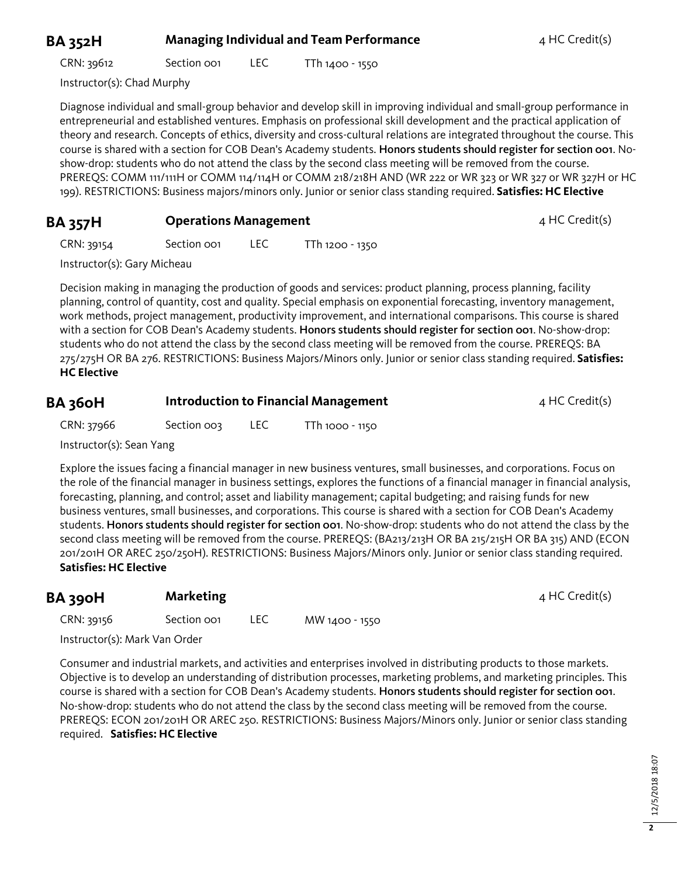# **BA 352H Managing Individual and Team Performance** 4 HC Credit(s)

CRN: 39612 Section 001 LEC TTh 1400 - 1550

Instructor(s): Chad Murphy

Diagnose individual and small-group behavior and develop skill in improving individual and small-group performance in entrepreneurial and established ventures. Emphasis on professional skill development and the practical application of theory and research. Concepts of ethics, diversity and cross-cultural relations are integrated throughout the course. This course is shared with a section for COB Dean's Academy students. Honors students should register for section 001. Noshow-drop: students who do not attend the class by the second class meeting will be removed from the course. PREREQS: COMM 111/111H or COMM 114/114H or COMM 218/218H AND (WR 222 or WR 323 or WR 327 or WR 327H or HC 199). RESTRICTIONS: Business majors/minors only. Junior or senior class standing required. **Satisfies: HC Elective** 

| <b>BA 357H</b> | <b>Operations Management</b> | 4 HC Credit(s) |
|----------------|------------------------------|----------------|
|----------------|------------------------------|----------------|

| CRN: 39154 | <b>LEC</b><br>Section oo1 | TTh 1200 - 1350 |
|------------|---------------------------|-----------------|
|------------|---------------------------|-----------------|

Instructor(s): Gary Micheau

Decision making in managing the production of goods and services: product planning, process planning, facility planning, control of quantity, cost and quality. Special emphasis on exponential forecasting, inventory management, work methods, project management, productivity improvement, and international comparisons. This course is shared with a section for COB Dean's Academy students. Honors students should register for section 001. No-show-drop: students who do not attend the class by the second class meeting will be removed from the course. PREREQS: BA 275/275H OR BA 276. RESTRICTIONS: Business Majors/Minors only. Junior or senior class standing required. **Satisfies: HC Elective** 

| <b>BA 360H</b> |  | <b>Introduction to Financial Management</b> | 4 HC Credit(s) |
|----------------|--|---------------------------------------------|----------------|
|                |  |                                             |                |

CRN: 37966 Section 003 LEC TTh 1000 - 1150

Instructor(s): Sean Yang

Explore the issues facing a financial manager in new business ventures, small businesses, and corporations. Focus on the role of the financial manager in business settings, explores the functions of a financial manager in financial analysis, forecasting, planning, and control; asset and liability management; capital budgeting; and raising funds for new business ventures, small businesses, and corporations. This course is shared with a section for COB Dean's Academy students. Honors students should register for section 001. No-show-drop: students who do not attend the class by the second class meeting will be removed from the course. PREREQS: (BA213/213H OR BA 215/215H OR BA 315) AND (ECON 201/201H OR AREC 250/250H). RESTRICTIONS: Business Majors/Minors only. Junior or senior class standing required. **Satisfies: HC Elective** 

| BA 390H    | <b>Marketing</b>        |     |                | 4 HC Credit(s) |  |
|------------|-------------------------|-----|----------------|----------------|--|
| CRN: 39156 | Section oo <sub>1</sub> | LEC | MW 1400 - 1550 |                |  |

Instructor(s): Mark Van Order

Consumer and industrial markets, and activities and enterprises involved in distributing products to those markets. Objective is to develop an understanding of distribution processes, marketing problems, and marketing principles. This course is shared with a section for COB Dean's Academy students. Honors students should register for section 001. No-show-drop: students who do not attend the class by the second class meeting will be removed from the course. PREREQS: ECON 201/201H OR AREC 250. RESTRICTIONS: Business Majors/Minors only. Junior or senior class standing required. **Satisfies: HC Elective**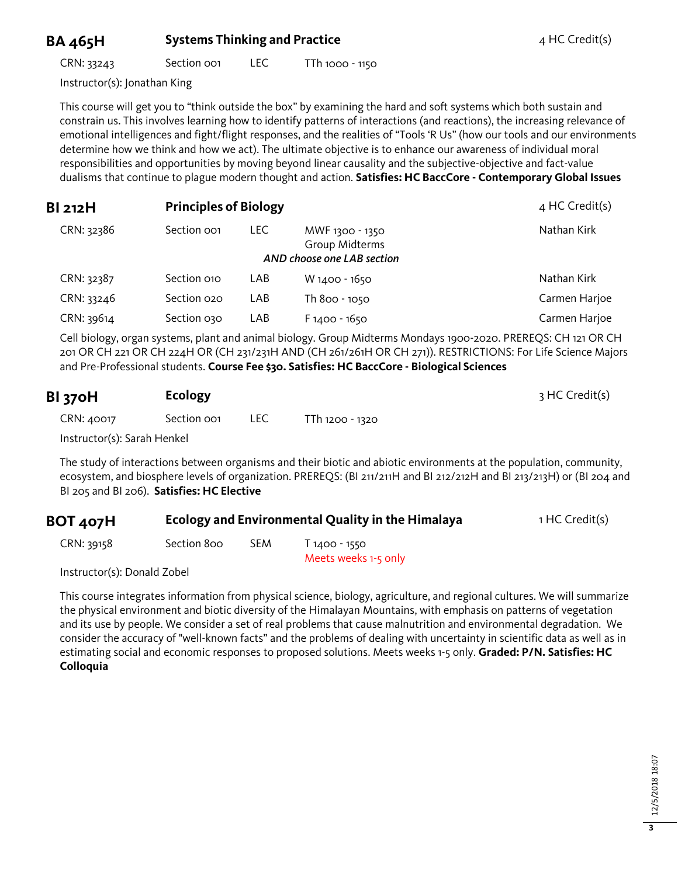# **BA 465H Systems Thinking and Practice According the Cause of AMC Credit(s)**

CRN: 33243 Section 001 LEC TTh 1000 - 1150

Instructor(s): Jonathan King

This course will get you to "think outside the box" by examining the hard and soft systems which both sustain and constrain us. This involves learning how to identify patterns of interactions (and reactions), the increasing relevance of emotional intelligences and fight/flight responses, and the realities of "Tools 'R Us" (how our tools and our environments determine how we think and how we act). The ultimate objective is to enhance our awareness of individual moral responsibilities and opportunities by moving beyond linear causality and the subjective-objective and fact-value dualisms that continue to plague modern thought and action. **Satisfies: HC BaccCore - Contemporary Global Issues**

| <b>Principles of Biology</b><br><b>BI 212H</b> |                         |      |                                                                 | 4 HC Credit(s) |
|------------------------------------------------|-------------------------|------|-----------------------------------------------------------------|----------------|
| CRN: 32386                                     | Section oo <sub>1</sub> | LEC. | MWF 1300 - 1350<br>Group Midterms<br>AND choose one LAB section | Nathan Kirk    |
| CRN: 32387                                     | Section 010             | LAB  | W 1400 - 1650                                                   | Nathan Kirk    |
| CRN: 33246                                     | Section 020             | LAB  | Th 800 - 1050                                                   | Carmen Harjoe  |
| CRN: 39614                                     | Section 030             | LAB  | $F1400 - 1650$                                                  | Carmen Harjoe  |

Cell biology, organ systems, plant and animal biology. Group Midterms Mondays 1900-2020. PREREQS: CH 121 OR CH 201 OR CH 221 OR CH 224H OR (CH 231/231H AND (CH 261/261H OR CH 271)). RESTRICTIONS: For Life Science Majors and Pre-Professional students. **Course Fee \$30. Satisfies: HC BaccCore - Biological Sciences**

| <b>BI 370H</b>              | <b>Ecology</b> |      |                 | 3 HC Credit(s) |
|-----------------------------|----------------|------|-----------------|----------------|
| CRN: 40017                  | Section oo1    | LEC. | TTh 1200 - 1320 |                |
| Instructor(s): Sarah Henkel |                |      |                 |                |

The study of interactions between organisms and their biotic and abiotic environments at the population, community, ecosystem, and biosphere levels of organization. PREREQS: (BI 211/211H and BI 212/212H and BI 213/213H) or (BI 204 and BI 205 and BI 206). **Satisfies: HC Elective** 

| <b>BOT 407H</b> | <b>Ecology and Environmental Quality in the Himalaya</b> | 1 HC Credit(s) |
|-----------------|----------------------------------------------------------|----------------|
| $\sim$          | $\sim$ $\sim$ $\sim$                                     |                |

CRN: 39158 Section 800 SEM T 1400 - 1550 Meets weeks 1-5 only

Instructor(s): Donald Zobel

This course integrates information from physical science, biology, agriculture, and regional cultures. We will summarize the physical environment and biotic diversity of the Himalayan Mountains, with emphasis on patterns of vegetation and its use by people. We consider a set of real problems that cause malnutrition and environmental degradation. We consider the accuracy of "well-known facts" and the problems of dealing with uncertainty in scientific data as well as in estimating social and economic responses to proposed solutions. Meets weeks 1-5 only. **Graded: P/N. Satisfies: HC Colloquia**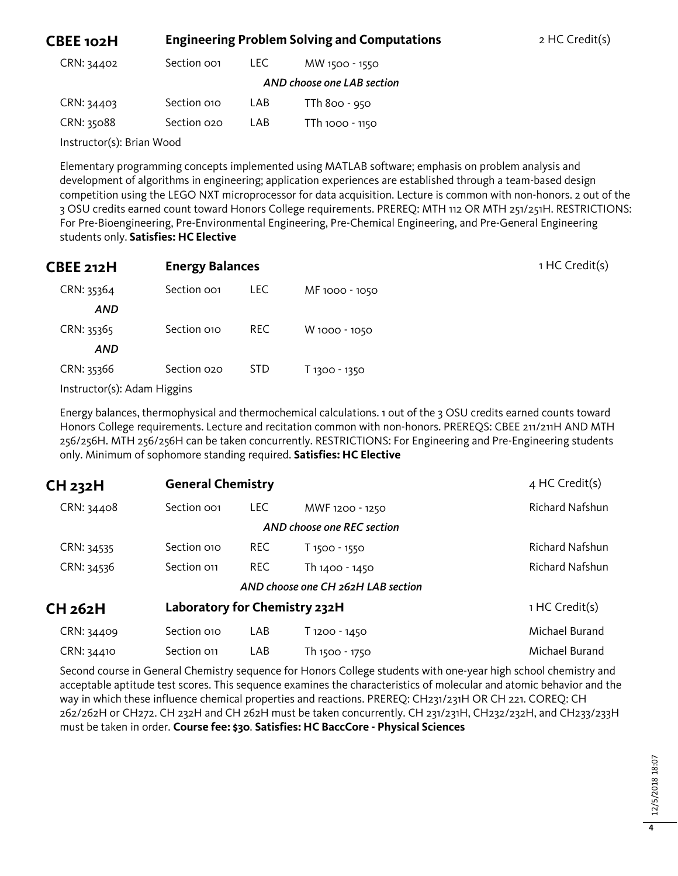| <b>CBEE 102H</b>          | <b>Engineering Problem Solving and Computations</b> | 2 HC Credit(s) |                            |  |
|---------------------------|-----------------------------------------------------|----------------|----------------------------|--|
| CRN: 34402                | Section oo1                                         | LEC.           | MW 1500 - 1550             |  |
|                           |                                                     |                | AND choose one LAB section |  |
| CRN: 34403                | Section 010                                         | LAB.           | TTh $800 - 950$            |  |
| CRN: 35088                | Section 020                                         | LAB            | TTh 1000 - 1150            |  |
| Instructor(s): Brian Wood |                                                     |                |                            |  |

Elementary programming concepts implemented using MATLAB software; emphasis on problem analysis and development of algorithms in engineering; application experiences are established through a team-based design competition using the LEGO NXT microprocessor for data acquisition. Lecture is common with non-honors. 2 out of the 3 OSU credits earned count toward Honors College requirements. PREREQ: MTH 112 OR MTH 251/251H. RESTRICTIONS: For Pre-Bioengineering, Pre-Environmental Engineering, Pre-Chemical Engineering, and Pre-General Engineering students only. **Satisfies: HC Elective** 

| <b>CBEE 212H</b>            | <b>Energy Balances</b>  |            |                | 1 HC Credit(s) |
|-----------------------------|-------------------------|------------|----------------|----------------|
| CRN: 35364<br>AND           | Section oo <sub>1</sub> | LEC.       | MF 1000 - 1050 |                |
| CRN: 35365<br>AND           | Section 010             | <b>REC</b> | W 1000 - 1050  |                |
| CRN: 35366                  | Section 020             | <b>STD</b> | T 1300 - 1350  |                |
| Instructor(s): Adam Higgins |                         |            |                |                |

Energy balances, thermophysical and thermochemical calculations. 1 out of the 3 OSU credits earned counts toward Honors College requirements. Lecture and recitation common with non-honors. PREREQS: CBEE 211/211H AND MTH 256/256H. MTH 256/256H can be taken concurrently. RESTRICTIONS: For Engineering and Pre-Engineering students only. Minimum of sophomore standing required. **Satisfies: HC Elective** 

| <b>CH 232H</b> | <b>General Chemistry</b>      |            |                                    | $4$ HC Credit(s)       |
|----------------|-------------------------------|------------|------------------------------------|------------------------|
| CRN: 34408     | Section oo1                   | <b>LEC</b> | MWF 1200 - 1250                    | <b>Richard Nafshun</b> |
|                |                               |            | AND choose one REC section         |                        |
| CRN: 34535     | Section 010                   | <b>REC</b> | T 1500 - 1550                      | Richard Nafshun        |
| CRN: 34536     | Section 011                   | REC        | Th 1400 - 1450                     | Richard Nafshun        |
|                |                               |            | AND choose one CH 262H LAB section |                        |
| <b>CH 262H</b> | Laboratory for Chemistry 232H |            |                                    | 1 HC Credit(s)         |
| CRN: 34409     | Section 010                   | LAB        | T 1200 - 1450                      | Michael Burand         |
| CRN: 34410     | Section 011                   | LAB        | Th 1500 - 1750                     | Michael Burand         |

Second course in General Chemistry sequence for Honors College students with one-year high school chemistry and acceptable aptitude test scores. This sequence examines the characteristics of molecular and atomic behavior and the way in which these influence chemical properties and reactions. PREREQ: CH231/231H OR CH 221. COREQ: CH 262/262H or CH272. CH 232H and CH 262H must be taken concurrently. CH 231/231H, CH232/232H, and CH233/233H must be taken in order. **Course fee: \$30**. **Satisfies: HC BaccCore - Physical Sciences**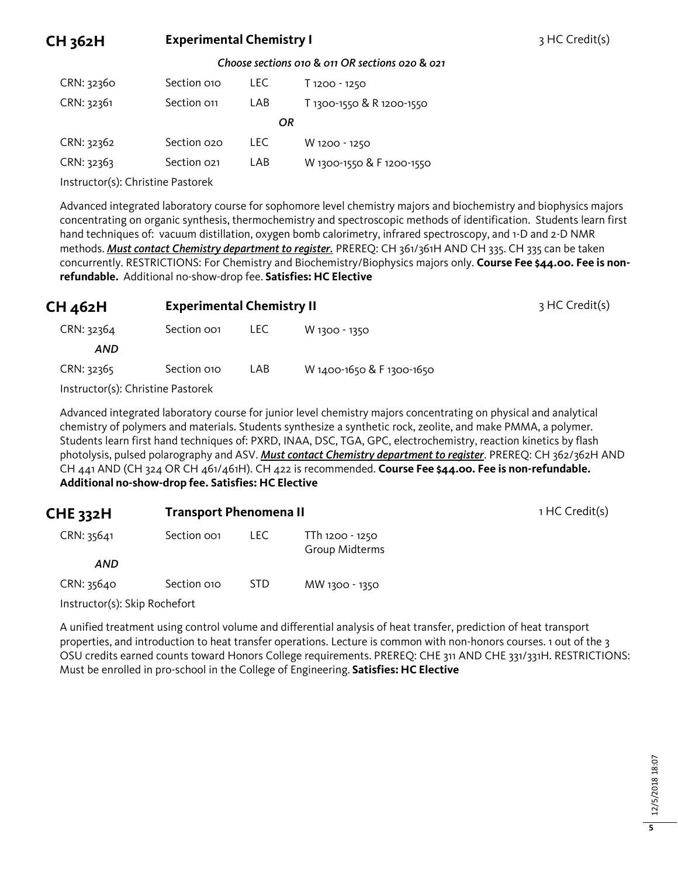# **CH 362H Experimental Chemistry I CH 362H** 3 HC Credit(s)

#### *Choose sections 010* & *011 OR sections 020* & *021*

| CRN: 32360 | Section 010 | LEC. | T 1200 - 1250             |
|------------|-------------|------|---------------------------|
| CRN: 32361 | Section 011 | LAB  | T 1300-1550 & R 1200-1550 |
|            |             | ΟR   |                           |
| CRN: 32362 | Section 020 | LEC. | W 1200 - 1250             |
| CRN: 32363 | Section 021 | LAB. | W 1300-1550 & F 1200-1550 |
|            |             |      |                           |

Instructor(s): Christine Pastorek

Advanced integrated laboratory course for sophomore level chemistry majors and biochemistry and biophysics majors concentrating on organic synthesis, thermochemistry and spectroscopic methods of identification. Students learn first hand techniques of: vacuum distillation, oxygen bomb calorimetry, infrared spectroscopy, and 1-D and 2-D NMR methods. *Must contact Chemistry department to register.* PREREQ: CH 361/361H AND CH 335. CH 335 can be taken concurrently. RESTRICTIONS: For Chemistry and Biochemistry/Biophysics majors only. **Course Fee \$44.00. Fee is nonrefundable.** Additional no-show-drop fee. **Satisfies: HC Elective** 

| CH <sub>462</sub> H               | <b>Experimental Chemistry II</b> |      | 3 HC Credit(s)            |  |
|-----------------------------------|----------------------------------|------|---------------------------|--|
| CRN: 32364                        | Section oo1                      | LEC. | W 1300 - 1350             |  |
| <b>AND</b>                        |                                  |      |                           |  |
| CRN: 32365                        | Section 010                      | LAB  | W 1400-1650 & F 1300-1650 |  |
| Instructor(s): Christine Pastorek |                                  |      |                           |  |

Advanced integrated laboratory course for junior level chemistry majors concentrating on physical and analytical chemistry of polymers and materials. Students synthesize a synthetic rock, zeolite, and make PMMA, a polymer. Students learn first hand techniques of: PXRD, INAA, DSC, TGA, GPC, electrochemistry, reaction kinetics by flash photolysis, pulsed polarography and ASV. *Must contact Chemistry department to register*. PREREQ: CH 362/362H AND CH 441 AND (CH 324 OR CH 461/461H). CH 422 is recommended. **Course Fee \$44.00. Fee is non-refundable. Additional no-show-drop fee. Satisfies: HC Elective** 

| <b>CHE 332H</b> | <b>Transport Phenomena II</b> |            | 1 HC Credit(s)                    |  |
|-----------------|-------------------------------|------------|-----------------------------------|--|
| CRN: 35641      | Section oo <sub>1</sub>       | LEC.       | TTh 1200 - 1250<br>Group Midterms |  |
| AND             |                               |            |                                   |  |
| CRN: 35640      | Section 010                   | <b>STD</b> | MW 1300 - 1350                    |  |

Instructor(s): Skip Rochefort

A unified treatment using control volume and differential analysis of heat transfer, prediction of heat transport properties, and introduction to heat transfer operations. Lecture is common with non-honors courses. 1 out of the 3 OSU credits earned counts toward Honors College requirements. PREREQ: CHE 311 AND CHE 331/331H. RESTRICTIONS: Must be enrolled in pro-school in the College of Engineering. **Satisfies: HC Elective**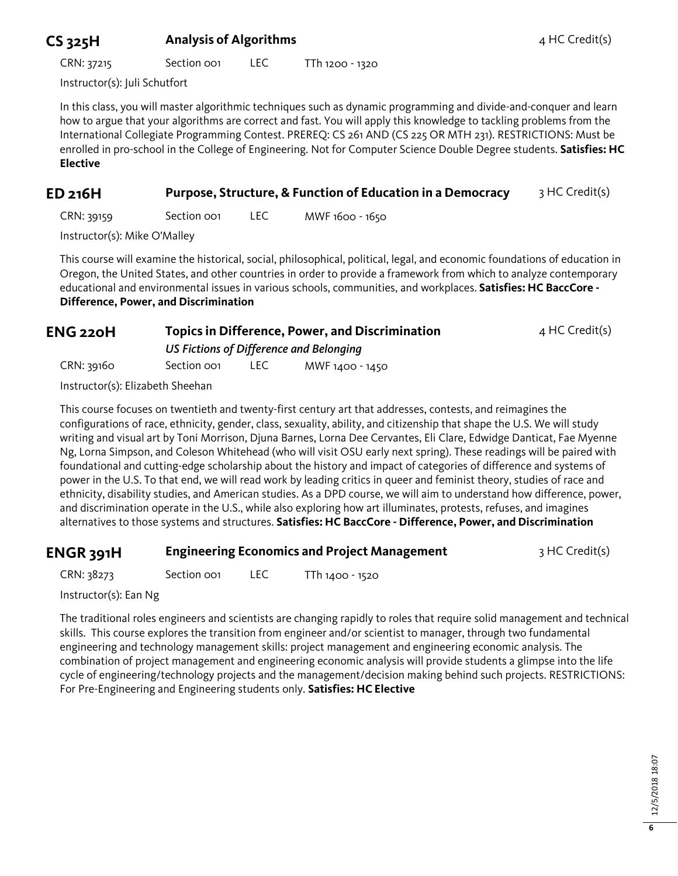# **CS 325H Analysis of Algorithms Analysis of Algorithms Additional Additional Additional Additional Additional Additional Additional Additional Additional Additional Additional Additional Additional Additional Additio**

CRN: 37215 Section 001 LEC TTh 1200 - 1320

Instructor(s): Juli Schutfort

In this class, you will master algorithmic techniques such as dynamic programming and divide-and-conquer and learn how to argue that your algorithms are correct and fast. You will apply this knowledge to tackling problems from the International Collegiate Programming Contest. PREREQ: CS 261 AND (CS 225 OR MTH 231). RESTRICTIONS: Must be enrolled in pro-school in the College of Engineering. Not for Computer Science Double Degree students. **Satisfies: HC Elective** 

#### **ED 216H Purpose, Structure, & Function of Education in a Democracy** 3 HC Credit(s)

CRN: 39159 Section 001 LEC MWF 1600 - 1650

Instructor(s): Mike O'Malley

This course will examine the historical, social, philosophical, political, legal, and economic foundations of education in Oregon, the United States, and other countries in order to provide a framework from which to analyze contemporary educational and environmental issues in various schools, communities, and workplaces. **Satisfies: HC BaccCore - Difference, Power, and Discrimination**

| <b>ENG 220H</b> | <b>Topics in Difference, Power, and Discrimination</b><br>4 HC Credit(s) |      |                                         |  |  |
|-----------------|--------------------------------------------------------------------------|------|-----------------------------------------|--|--|
|                 |                                                                          |      | US Fictions of Difference and Belonging |  |  |
| CRN: 39160      | Section oo <sub>1</sub>                                                  | LEC. | MWF 1400 - 1450                         |  |  |

Instructor(s): Elizabeth Sheehan

This course focuses on twentieth and twenty-first century art that addresses, contests, and reimagines the configurations of race, ethnicity, gender, class, sexuality, ability, and citizenship that shape the U.S. We will study writing and visual art by Toni Morrison, Djuna Barnes, Lorna Dee Cervantes, Eli Clare, Edwidge Danticat, Fae Myenne Ng, Lorna Simpson, and Coleson Whitehead (who will visit OSU early next spring). These readings will be paired with foundational and cutting-edge scholarship about the history and impact of categories of difference and systems of power in the U.S. To that end, we will read work by leading critics in queer and feminist theory, studies of race and ethnicity, disability studies, and American studies. As a DPD course, we will aim to understand how difference, power, and discrimination operate in the U.S., while also exploring how art illuminates, protests, refuses, and imagines alternatives to those systems and structures. **Satisfies: HC BaccCore - Difference, Power, and Discrimination**

| ENGR 391H | <b>Engineering Economics and Project Management</b> | 3 HC Credit(s) |
|-----------|-----------------------------------------------------|----------------|
|-----------|-----------------------------------------------------|----------------|

CRN: 38273 Section 001 LEC TTh 1400 - 1520

Instructor(s): Ean Ng

The traditional roles engineers and scientists are changing rapidly to roles that require solid management and technical skills. This course explores the transition from engineer and/or scientist to manager, through two fundamental engineering and technology management skills: project management and engineering economic analysis. The combination of project management and engineering economic analysis will provide students a glimpse into the life cycle of engineering/technology projects and the management/decision making behind such projects. RESTRICTIONS: For Pre-Engineering and Engineering students only. **Satisfies: HC Elective**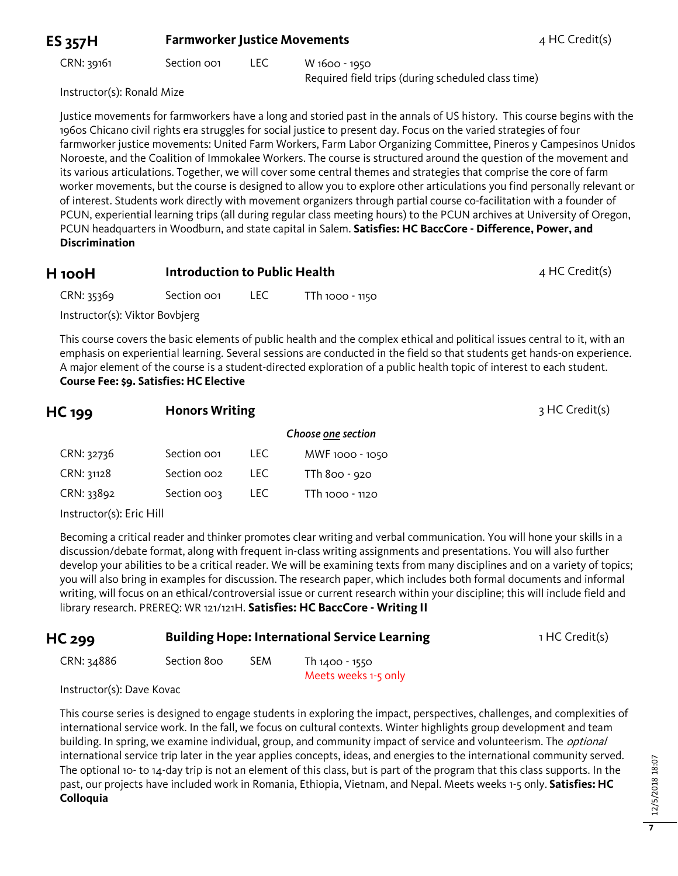| <b>ES 357H</b> | <b>Farmworker Justice Movements</b> |  |               | 4 HC Credit(s) |
|----------------|-------------------------------------|--|---------------|----------------|
| CRN: 39161     | Section oo                          |  | W 1600 - 1950 |                |

Required field trips (during scheduled class time)

Instructor(s): Ronald Mize

Justice movements for farmworkers have a long and storied past in the annals of US history. This course begins with the 1960s Chicano civil rights era struggles for social justice to present day. Focus on the varied strategies of four farmworker justice movements: United Farm Workers, Farm Labor Organizing Committee, Pineros y Campesinos Unidos Noroeste, and the Coalition of Immokalee Workers. The course is structured around the question of the movement and its various articulations. Together, we will cover some central themes and strategies that comprise the core of farm worker movements, but the course is designed to allow you to explore other articulations you find personally relevant or of interest. Students work directly with movement organizers through partial course co-facilitation with a founder of PCUN, experiential learning trips (all during regular class meeting hours) to the PCUN archives at University of Oregon, PCUN headquarters in Woodburn, and state capital in Salem. **Satisfies: HC BaccCore - Difference, Power, and Discrimination**

| H <sub>100</sub> H             | Introduction to Public Health |      |                 | 4 HC Credit(s) |
|--------------------------------|-------------------------------|------|-----------------|----------------|
| CRN: 35369                     | Section oo                    | LEC. | TTh 1000 - 1150 |                |
| Instructor(s): Viktor Bovbjerg |                               |      |                 |                |

This course covers the basic elements of public health and the complex ethical and political issues central to it, with an emphasis on experiential learning. Several sessions are conducted in the field so that students get hands-on experience. A major element of the course is a student-directed exploration of a public health topic of interest to each student. **Course Fee: \$9. Satisfies: HC Elective** 

| HC 199     | <b>Honors Writing</b>   |      |                    | 3 HC Credit(s) |
|------------|-------------------------|------|--------------------|----------------|
|            |                         |      | Choose one section |                |
| CRN: 32736 | Section oo1             | LEC. | MWF 1000 - 1050    |                |
| CRN: 31128 | Section oo <sub>2</sub> | LEC. | TTh 800 - 920      |                |
| CRN: 33892 | Section 003             | LEC. | TTh 1000 - 1120    |                |
|            |                         |      |                    |                |

Instructor(s): Eric Hill

Becoming a critical reader and thinker promotes clear writing and verbal communication. You will hone your skills in a discussion/debate format, along with frequent in-class writing assignments and presentations. You will also further develop your abilities to be a critical reader. We will be examining texts from many disciplines and on a variety of topics; you will also bring in examples for discussion. The research paper, which includes both formal documents and informal writing, will focus on an ethical/controversial issue or current research within your discipline; this will include field and library research. PREREQ: WR 121/121H. **Satisfies: HC BaccCore - Writing II**

| Th 1400 - 1550<br>Meets weeks 1-5 only |
|----------------------------------------|

Instructor(s): Dave Kovac

This course series is designed to engage students in exploring the impact, perspectives, challenges, and complexities of international service work. In the fall, we focus on cultural contexts. Winter highlights group development and team building. In spring, we examine individual, group, and community impact of service and volunteerism. The *optional* international service trip later in the year applies concepts, ideas, and energies to the international community served. The optional 10- to 14-day trip is not an element of this class, but is part of the program that this class supports. In the past, our projects have included work in Romania, Ethiopia, Vietnam, and Nepal. Meets weeks 1-5 only. **Satisfies: HC Colloquia**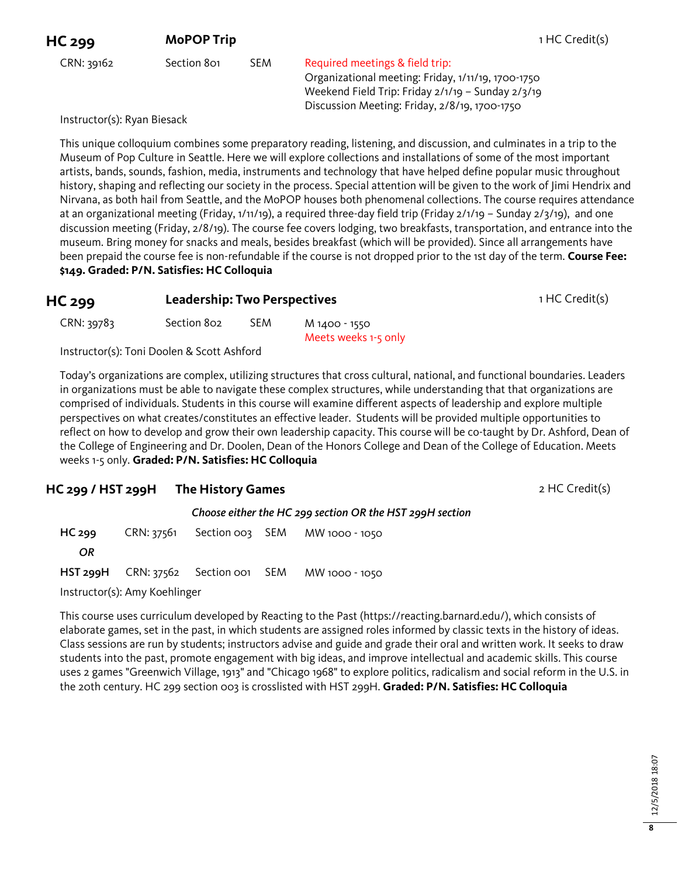| <b>HC 299</b> | <b>MoPOP Trip</b> |     | 1 HC Credit(s)                                                                                                                                                                              |
|---------------|-------------------|-----|---------------------------------------------------------------------------------------------------------------------------------------------------------------------------------------------|
| CRN: 39162    | Section 801       | SEM | Required meetings & field trip:<br>Organizational meeting: Friday, 1/11/19, 1700-1750<br>Weekend Field Trip: Friday 2/1/19 - Sunday 2/3/19<br>Discussion Meeting: Friday, 2/8/19, 1700-1750 |

Instructor(s): Ryan Biesack

This unique colloquium combines some preparatory reading, listening, and discussion, and culminates in a trip to the Museum of Pop Culture in Seattle. Here we will explore collections and installations of some of the most important artists, bands, sounds, fashion, media, instruments and technology that have helped define popular music throughout history, shaping and reflecting our society in the process. Special attention will be given to the work of Jimi Hendrix and Nirvana, as both hail from Seattle, and the MoPOP houses both phenomenal collections. The course requires attendance at an organizational meeting (Friday, 1/11/19), a required three-day field trip (Friday 2/1/19 – Sunday 2/3/19), and one discussion meeting (Friday, 2/8/19). The course fee covers lodging, two breakfasts, transportation, and entrance into the museum. Bring money for snacks and meals, besides breakfast (which will be provided). Since all arrangements have been prepaid the course fee is non-refundable if the course is not dropped prior to the 1st day of the term. **Course Fee: \$149. Graded: P/N. Satisfies: HC Colloquia** 

| <b>HC 299</b> | <b>Leadership: Two Perspectives</b> |            |                                       | 1 HC Credit(s) |
|---------------|-------------------------------------|------------|---------------------------------------|----------------|
| CRN: 39783    | Section 802                         | <b>SEM</b> | M 1400 - 1550<br>Meets weeks 1-5 only |                |

Instructor(s): Toni Doolen & Scott Ashford

Today's organizations are complex, utilizing structures that cross cultural, national, and functional boundaries. Leaders in organizations must be able to navigate these complex structures, while understanding that that organizations are comprised of individuals. Students in this course will examine different aspects of leadership and explore multiple perspectives on what creates/constitutes an effective leader. Students will be provided multiple opportunities to reflect on how to develop and grow their own leadership capacity. This course will be co-taught by Dr. Ashford, Dean of the College of Engineering and Dr. Doolen, Dean of the Honors College and Dean of the College of Education. Meets weeks 1-5 only. **Graded: P/N. Satisfies: HC Colloquia** 

#### **HC 299 / HST 299H The History Games** 2 HC Credit(s)

*Choose either the HC 299 section OR the HST 299H section*

| HC <sub>299</sub>             |  |  |  | CRN: 37561 Section 003 SEM MW 1000 - 1050          |  |
|-------------------------------|--|--|--|----------------------------------------------------|--|
| OR.                           |  |  |  |                                                    |  |
|                               |  |  |  | HST 299H CRN: 37562 Section 001 SEM MW 1000 - 1050 |  |
| Instructor(s): Amy Koehlinger |  |  |  |                                                    |  |

This course uses curriculum developed by Reacting to the Past (https://reacting.barnard.edu/), which consists of elaborate games, set in the past, in which students are assigned roles informed by classic texts in the history of ideas. Class sessions are run by students; instructors advise and guide and grade their oral and written work. It seeks to draw students into the past, promote engagement with big ideas, and improve intellectual and academic skills. This course uses 2 games "Greenwich Village, 1913" and "Chicago 1968" to explore politics, radicalism and social reform in the U.S. in the 20th century. HC 299 section 003 is crosslisted with HST 299H. **Graded: P/N. Satisfies: HC Colloquia**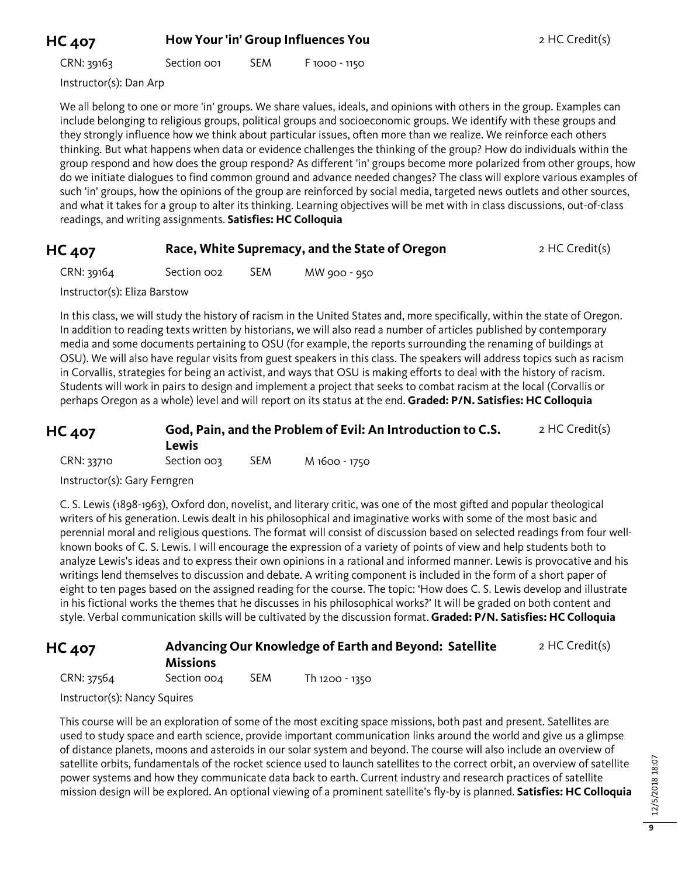# **HC 407 How Your 'in' Group Influences You 2 HC Credit(s)** 2 HC Credit(s)

CRN: 39163 Section 001 SEM F 1000 - 1150

Instructor(s): Dan Arp

We all belong to one or more 'in' groups. We share values, ideals, and opinions with others in the group. Examples can include belonging to religious groups, political groups and socioeconomic groups. We identify with these groups and they strongly influence how we think about particular issues, often more than we realize. We reinforce each others thinking. But what happens when data or evidence challenges the thinking of the group? How do individuals within the group respond and how does the group respond? As different 'in' groups become more polarized from other groups, how do we initiate dialogues to find common ground and advance needed changes? The class will explore various examples of such 'in' groups, how the opinions of the group are reinforced by social media, targeted news outlets and other sources, and what it takes for a group to alter its thinking. Learning objectives will be met with in class discussions, out-of-class readings, and writing assignments. **Satisfies: HC Colloquia** 

| <b>HC 407</b> |                         |     | Race, White Supremacy, and the State of Oregon | 2 HC Credit(s) |
|---------------|-------------------------|-----|------------------------------------------------|----------------|
| CRN: 39164    | Section oo <sub>2</sub> | SEM | MW 900 - 950                                   |                |

Instructor(s): Eliza Barstow

In this class, we will study the history of racism in the United States and, more specifically, within the state of Oregon. In addition to reading texts written by historians, we will also read a number of articles published by contemporary media and some documents pertaining to OSU (for example, the reports surrounding the renaming of buildings at OSU). We will also have regular visits from guest speakers in this class. The speakers will address topics such as racism in Corvallis, strategies for being an activist, and ways that OSU is making efforts to deal with the history of racism. Students will work in pairs to design and implement a project that seeks to combat racism at the local (Corvallis or perhaps Oregon as a whole) level and will report on its status at the end. **Graded: P/N. Satisfies: HC Colloquia** 

| <b>HC 407</b> | God, Pain, and the Problem of Evil: An Introduction to C.S.<br>2 HC Credit(s) |            |               |  |  |  |
|---------------|-------------------------------------------------------------------------------|------------|---------------|--|--|--|
|               | Lewis                                                                         |            |               |  |  |  |
| CRN: 33710    | Section oos                                                                   | <b>SEM</b> | M 1600 - 1750 |  |  |  |

Instructor(s): Gary Ferngren

C. S. Lewis (1898-1963), Oxford don, novelist, and literary critic, was one of the most gifted and popular theological writers of his generation. Lewis dealt in his philosophical and imaginative works with some of the most basic and perennial moral and religious questions. The format will consist of discussion based on selected readings from four wellknown books of C. S. Lewis. I will encourage the expression of a variety of points of view and help students both to analyze Lewis's ideas and to express their own opinions in a rational and informed manner. Lewis is provocative and his writings lend themselves to discussion and debate. A writing component is included in the form of a short paper of eight to ten pages based on the assigned reading for the course. The topic: 'How does C. S. Lewis develop and illustrate in his fictional works the themes that he discusses in his philosophical works?' It will be graded on both content and style. Verbal communication skills will be cultivated by the discussion format. **Graded: P/N. Satisfies: HC Colloquia** 

| <b>HC 407</b> | Advancing Our Knowledge of Earth and Beyond: Satellite<br><b>Missions</b> | 2 HC Credit(s) |
|---------------|---------------------------------------------------------------------------|----------------|
|               |                                                                           |                |
| $\sim$ $\sim$ | $\sim$ $\sim$ $\sim$ $\sim$                                               |                |

CRN: 37564 Section 004 SEM Th 1200 - 1350

Instructor(s): Nancy Squires

This course will be an exploration of some of the most exciting space missions, both past and present. Satellites are used to study space and earth science, provide important communication links around the world and give us a glimpse of distance planets, moons and asteroids in our solar system and beyond. The course will also include an overview of satellite orbits, fundamentals of the rocket science used to launch satellites to the correct orbit, an overview of satellite power systems and how they communicate data back to earth. Current industry and research practices of satellite mission design will be explored. An optional viewing of a prominent satellite's fly-by is planned. **Satisfies: HC Colloquia**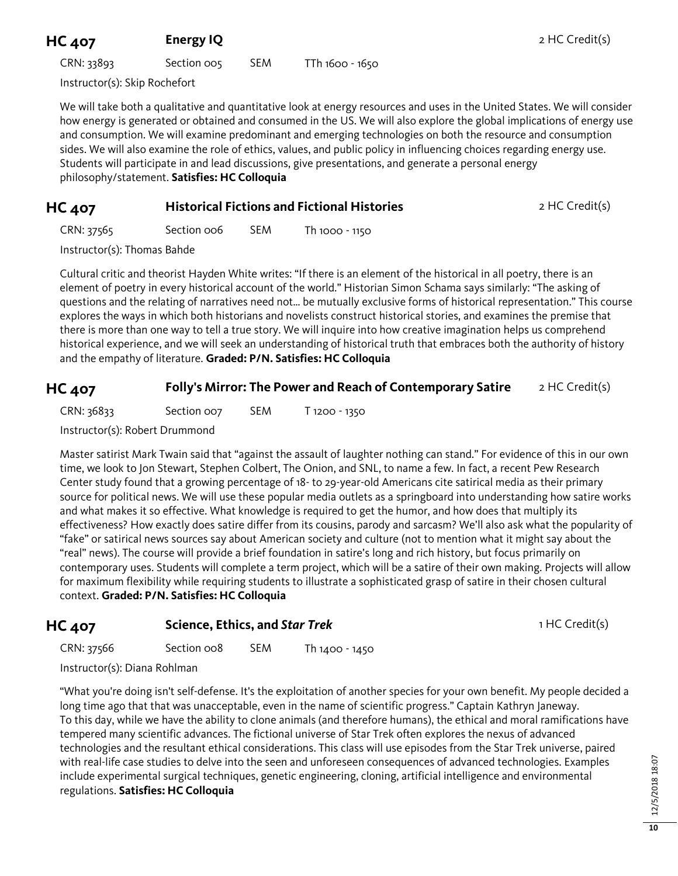CRN: 33893 Section 005 SEM TTh 1600 - 1650

Instructor(s): Skip Rochefort

We will take both a qualitative and quantitative look at energy resources and uses in the United States. We will consider how energy is generated or obtained and consumed in the US. We will also explore the global implications of energy use and consumption. We will examine predominant and emerging technologies on both the resource and consumption sides. We will also examine the role of ethics, values, and public policy in influencing choices regarding energy use. Students will participate in and lead discussions, give presentations, and generate a personal energy philosophy/statement. **Satisfies: HC Colloquia** 

# **HC 407 Historical Fictions and Fictional Histories** 2 HC Credit(s)

CRN: 37565 Section 006 SEM Th 1000 - 1150

Instructor(s): Thomas Bahde

Cultural critic and theorist Hayden White writes: "If there is an element of the historical in all poetry, there is an element of poetry in every historical account of the world." Historian Simon Schama says similarly: "The asking of questions and the relating of narratives need not… be mutually exclusive forms of historical representation." This course explores the ways in which both historians and novelists construct historical stories, and examines the premise that there is more than one way to tell a true story. We will inquire into how creative imagination helps us comprehend historical experience, and we will seek an understanding of historical truth that embraces both the authority of history and the empathy of literature. **Graded: P/N. Satisfies: HC Colloquia** 

# **HC 407 Folly's Mirror: The Power and Reach of Contemporary Satire** 2 HC Credit(s)

CRN: 36833 Section 007 SEM T 1200 - 1350

Instructor(s): Robert Drummond

Master satirist Mark Twain said that "against the assault of laughter nothing can stand." For evidence of this in our own time, we look to Jon Stewart, Stephen Colbert, The Onion, and SNL, to name a few. In fact, a recent Pew Research Center study found that a growing percentage of 18- to 29-year-old Americans cite satirical media as their primary source for political news. We will use these popular media outlets as a springboard into understanding how satire works and what makes it so effective. What knowledge is required to get the humor, and how does that multiply its effectiveness? How exactly does satire differ from its cousins, parody and sarcasm? We'll also ask what the popularity of "fake" or satirical news sources say about American society and culture (not to mention what it might say about the "real" news). The course will provide a brief foundation in satire's long and rich history, but focus primarily on contemporary uses. Students will complete a term project, which will be a satire of their own making. Projects will allow for maximum flexibility while requiring students to illustrate a sophisticated grasp of satire in their chosen cultural context. **Graded: P/N. Satisfies: HC Colloquia** 

# **HC 407 Science, Ethics, and Star Trek** 1 HC Credit(s)

CRN: 37566 Section 008 SEM Th 1400 - 1450

Instructor(s): Diana Rohlman

"What you're doing isn't self-defense. It's the exploitation of another species for your own benefit. My people decided a long time ago that that was unacceptable, even in the name of scientific progress." Captain Kathryn Janeway. To this day, while we have the ability to clone animals (and therefore humans), the ethical and moral ramifications have tempered many scientific advances. The fictional universe of Star Trek often explores the nexus of advanced technologies and the resultant ethical considerations. This class will use episodes from the Star Trek universe, paired with real-life case studies to delve into the seen and unforeseen consequences of advanced technologies. Examples include experimental surgical techniques, genetic engineering, cloning, artificial intelligence and environmental regulations. **Satisfies: HC Colloquia**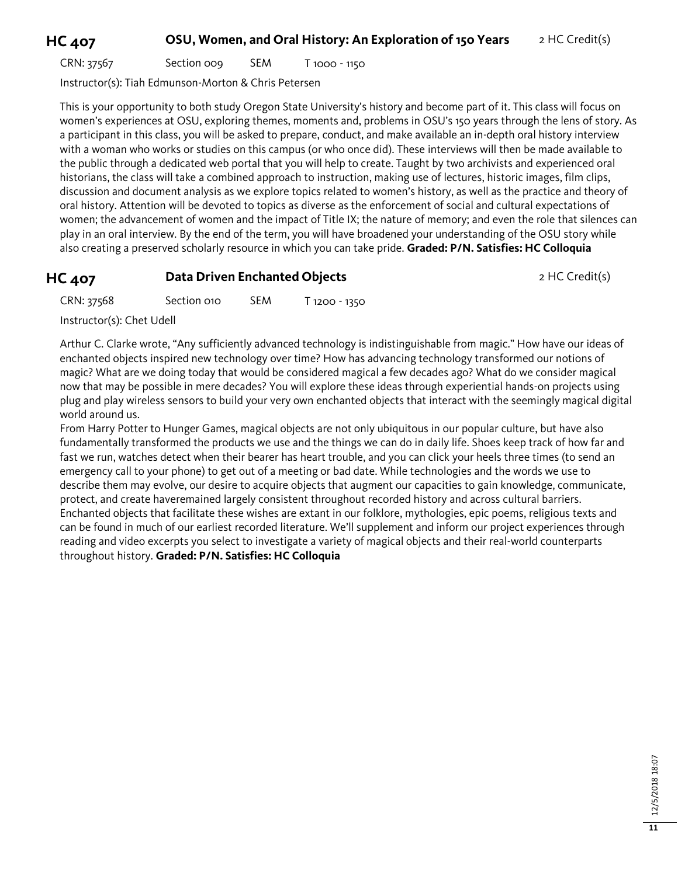# **HC 407 OSU, Women, and Oral History: An Exploration of 150 Years** 2 HC Credit(s)

CRN: 37567 Section 009 SEM T 1000 - 1150

Instructor(s): Tiah Edmunson-Morton & Chris Petersen

This is your opportunity to both study Oregon State University's history and become part of it. This class will focus on women's experiences at OSU, exploring themes, moments and, problems in OSU's 150 years through the lens of story. As a participant in this class, you will be asked to prepare, conduct, and make available an in-depth oral history interview with a woman who works or studies on this campus (or who once did). These interviews will then be made available to the public through a dedicated web portal that you will help to create. Taught by two archivists and experienced oral historians, the class will take a combined approach to instruction, making use of lectures, historic images, film clips, discussion and document analysis as we explore topics related to women's history, as well as the practice and theory of oral history. Attention will be devoted to topics as diverse as the enforcement of social and cultural expectations of women; the advancement of women and the impact of Title IX; the nature of memory; and even the role that silences can play in an oral interview. By the end of the term, you will have broadened your understanding of the OSU story while also creating a preserved scholarly resource in which you can take pride. **Graded: P/N. Satisfies: HC Colloquia** 

# **HC 407 Data Driven Enchanted Objects Department AC 407 Details** 2 HC Credit(s) CRN: 37568 Section 010 SEM T 1200 - 1350

Instructor(s): Chet Udell

Arthur C. Clarke wrote, "Any sufficiently advanced technology is indistinguishable from magic." How have our ideas of enchanted objects inspired new technology over time? How has advancing technology transformed our notions of magic? What are we doing today that would be considered magical a few decades ago? What do we consider magical now that may be possible in mere decades? You will explore these ideas through experiential hands-on projects using plug and play wireless sensors to build your very own enchanted objects that interact with the seemingly magical digital world around us.

From Harry Potter to Hunger Games, magical objects are not only ubiquitous in our popular culture, but have also fundamentally transformed the products we use and the things we can do in daily life. Shoes keep track of how far and fast we run, watches detect when their bearer has heart trouble, and you can click your heels three times (to send an emergency call to your phone) to get out of a meeting or bad date. While technologies and the words we use to describe them may evolve, our desire to acquire objects that augment our capacities to gain knowledge, communicate, protect, and create haveremained largely consistent throughout recorded history and across cultural barriers. Enchanted objects that facilitate these wishes are extant in our folklore, mythologies, epic poems, religious texts and can be found in much of our earliest recorded literature. We'll supplement and inform our project experiences through reading and video excerpts you select to investigate a variety of magical objects and their real-world counterparts throughout history. **Graded: P/N. Satisfies: HC Colloquia**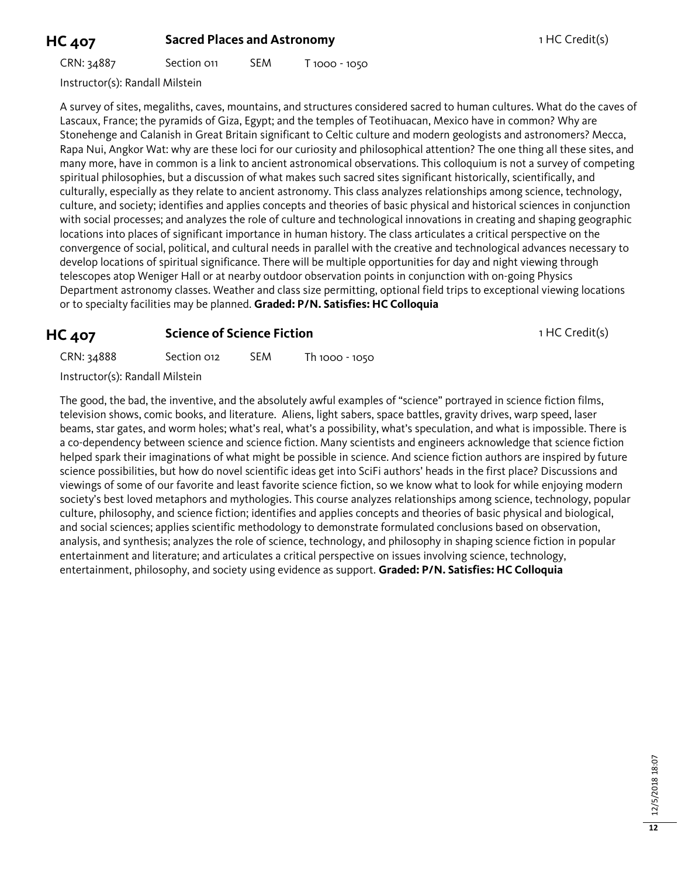# **HC 407 Sacred Places and Astronomy** 1 HC Credit(s)

CRN: 34887 Section 011 SEM T 1000 - 1050

Instructor(s): Randall Milstein

A survey of sites, megaliths, caves, mountains, and structures considered sacred to human cultures. What do the caves of Lascaux, France; the pyramids of Giza, Egypt; and the temples of Teotihuacan, Mexico have in common? Why are Stonehenge and Calanish in Great Britain significant to Celtic culture and modern geologists and astronomers? Mecca, Rapa Nui, Angkor Wat: why are these loci for our curiosity and philosophical attention? The one thing all these sites, and many more, have in common is a link to ancient astronomical observations. This colloquium is not a survey of competing spiritual philosophies, but a discussion of what makes such sacred sites significant historically, scientifically, and culturally, especially as they relate to ancient astronomy. This class analyzes relationships among science, technology, culture, and society; identifies and applies concepts and theories of basic physical and historical sciences in conjunction with social processes; and analyzes the role of culture and technological innovations in creating and shaping geographic locations into places of significant importance in human history. The class articulates a critical perspective on the convergence of social, political, and cultural needs in parallel with the creative and technological advances necessary to develop locations of spiritual significance. There will be multiple opportunities for day and night viewing through telescopes atop Weniger Hall or at nearby outdoor observation points in conjunction with on-going Physics Department astronomy classes. Weather and class size permitting, optional field trips to exceptional viewing locations or to specialty facilities may be planned. **Graded: P/N. Satisfies: HC Colloquia** 

# **HC 407 Science of Science Fiction 1 HC Credit(s)**

CRN: 34888 Section 012 SEM Th 1000 - 1050

Instructor(s): Randall Milstein

The good, the bad, the inventive, and the absolutely awful examples of "science" portrayed in science fiction films, television shows, comic books, and literature. Aliens, light sabers, space battles, gravity drives, warp speed, laser beams, star gates, and worm holes; what's real, what's a possibility, what's speculation, and what is impossible. There is a co-dependency between science and science fiction. Many scientists and engineers acknowledge that science fiction helped spark their imaginations of what might be possible in science. And science fiction authors are inspired by future science possibilities, but how do novel scientific ideas get into SciFi authors' heads in the first place? Discussions and viewings of some of our favorite and least favorite science fiction, so we know what to look for while enjoying modern society's best loved metaphors and mythologies. This course analyzes relationships among science, technology, popular culture, philosophy, and science fiction; identifies and applies concepts and theories of basic physical and biological, and social sciences; applies scientific methodology to demonstrate formulated conclusions based on observation, analysis, and synthesis; analyzes the role of science, technology, and philosophy in shaping science fiction in popular entertainment and literature; and articulates a critical perspective on issues involving science, technology, entertainment, philosophy, and society using evidence as support. **Graded: P/N. Satisfies: HC Colloquia**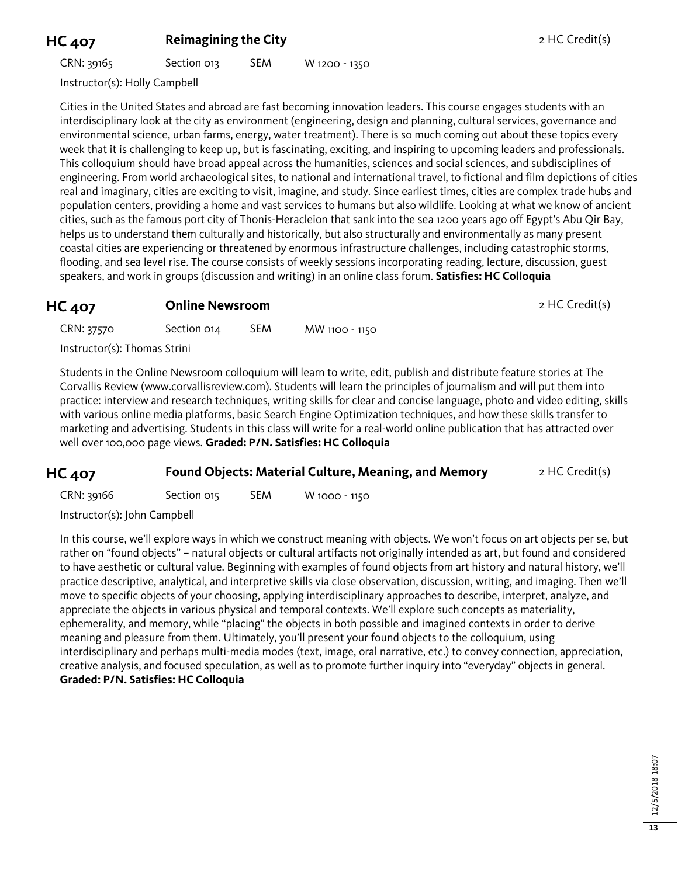# **HC 407 Reimagining the City Research 2 HC Credit(s)** 2 HC Credit(s)

CRN: 39165 Section 013 SEM W 1200 - 1350

Instructor(s): Holly Campbell

Cities in the United States and abroad are fast becoming innovation leaders. This course engages students with an interdisciplinary look at the city as environment (engineering, design and planning, cultural services, governance and environmental science, urban farms, energy, water treatment). There is so much coming out about these topics every week that it is challenging to keep up, but is fascinating, exciting, and inspiring to upcoming leaders and professionals. This colloquium should have broad appeal across the humanities, sciences and social sciences, and subdisciplines of engineering. From world archaeological sites, to national and international travel, to fictional and film depictions of cities real and imaginary, cities are exciting to visit, imagine, and study. Since earliest times, cities are complex trade hubs and population centers, providing a home and vast services to humans but also wildlife. Looking at what we know of ancient cities, such as the famous port city of Thonis-Heracleion that sank into the sea 1200 years ago off Egypt's Abu Qir Bay, helps us to understand them culturally and historically, but also structurally and environmentally as many present coastal cities are experiencing or threatened by enormous infrastructure challenges, including catastrophic storms, flooding, and sea level rise. The course consists of weekly sessions incorporating reading, lecture, discussion, guest speakers, and work in groups (discussion and writing) in an online class forum. **Satisfies: HC Colloquia** 

# **HC 407 Online Newsroom** 2 HC Credit(s)

CRN: 37570 Section 014 SEM MW 1100 - 1150

Instructor(s): Thomas Strini

Students in the Online Newsroom colloquium will learn to write, edit, publish and distribute feature stories at The Corvallis Review (www.corvallisreview.com). Students will learn the principles of journalism and will put them into practice: interview and research techniques, writing skills for clear and concise language, photo and video editing, skills with various online media platforms, basic Search Engine Optimization techniques, and how these skills transfer to marketing and advertising. Students in this class will write for a real-world online publication that has attracted over well over 100,000 page views. **Graded: P/N. Satisfies: HC Colloquia** 

### **HC 407 Found Objects: Material Culture, Meaning, and Memory** 2 HC Credit(s)

CRN: 39166 Section 015 SEM W 1000 - 1150

Instructor(s): John Campbell

In this course, we'll explore ways in which we construct meaning with objects. We won't focus on art objects per se, but rather on "found objects" – natural objects or cultural artifacts not originally intended as art, but found and considered to have aesthetic or cultural value. Beginning with examples of found objects from art history and natural history, we'll practice descriptive, analytical, and interpretive skills via close observation, discussion, writing, and imaging. Then we'll move to specific objects of your choosing, applying interdisciplinary approaches to describe, interpret, analyze, and appreciate the objects in various physical and temporal contexts. We'll explore such concepts as materiality, ephemerality, and memory, while "placing" the objects in both possible and imagined contexts in order to derive meaning and pleasure from them. Ultimately, you'll present your found objects to the colloquium, using interdisciplinary and perhaps multi-media modes (text, image, oral narrative, etc.) to convey connection, appreciation, creative analysis, and focused speculation, as well as to promote further inquiry into "everyday" objects in general. **Graded: P/N. Satisfies: HC Colloquia**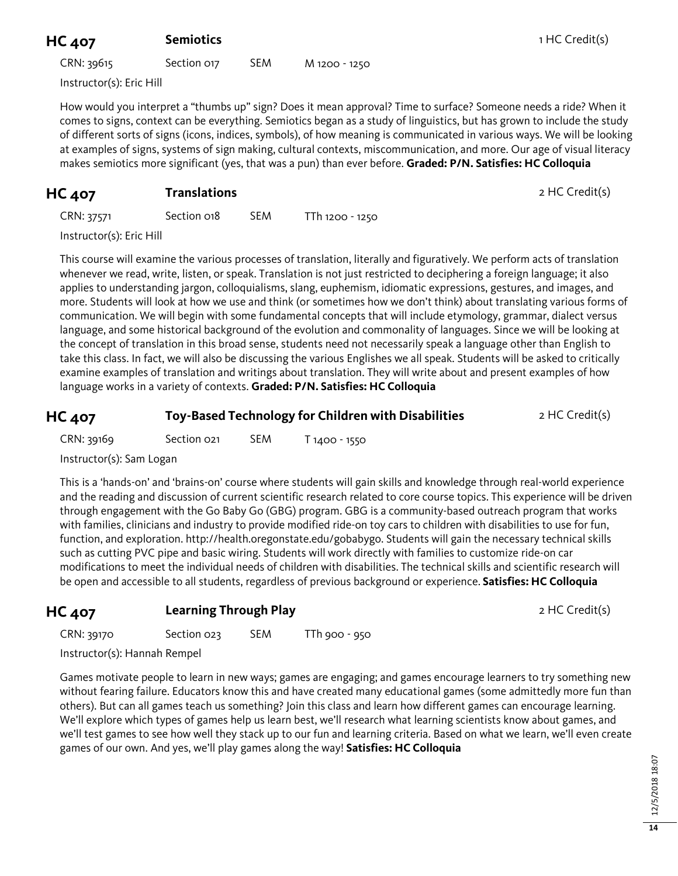# **HC 407 Semiotics Semiotics Semiotics 1 HC Credit(s)**

CRN: 39615 Section 017 SEM M 1200 - 1250

Instructor(s): Eric Hill

How would you interpret a "thumbs up" sign? Does it mean approval? Time to surface? Someone needs a ride? When it comes to signs, context can be everything. Semiotics began as a study of linguistics, but has grown to include the study of different sorts of signs (icons, indices, symbols), of how meaning is communicated in various ways. We will be looking at examples of signs, systems of sign making, cultural contexts, miscommunication, and more. Our age of visual literacy makes semiotics more significant (yes, that was a pun) than ever before. **Graded: P/N. Satisfies: HC Colloquia** 

| <b>HC 407</b> | <b>Translations</b> | 2 HC Credit(s) |
|---------------|---------------------|----------------|
|               |                     |                |

CRN: 37571 Section 018 SEM TTh 1200 - 1250

Instructor(s): Eric Hill

This course will examine the various processes of translation, literally and figuratively. We perform acts of translation whenever we read, write, listen, or speak. Translation is not just restricted to deciphering a foreign language; it also applies to understanding jargon, colloquialisms, slang, euphemism, idiomatic expressions, gestures, and images, and more. Students will look at how we use and think (or sometimes how we don't think) about translating various forms of communication. We will begin with some fundamental concepts that will include etymology, grammar, dialect versus language, and some historical background of the evolution and commonality of languages. Since we will be looking at the concept of translation in this broad sense, students need not necessarily speak a language other than English to take this class. In fact, we will also be discussing the various Englishes we all speak. Students will be asked to critically examine examples of translation and writings about translation. They will write about and present examples of how language works in a variety of contexts. **Graded: P/N. Satisfies: HC Colloquia** 

| <b>HC 407</b> | Toy-Based Technology for Children with Disabilities | 2 HC Credit(s) |
|---------------|-----------------------------------------------------|----------------|
|---------------|-----------------------------------------------------|----------------|

CRN: 39169 Section 021 SEM T 1400 - 1550

Instructor(s): Sam Logan

This is a 'hands-on' and 'brains-on' course where students will gain skills and knowledge through real-world experience and the reading and discussion of current scientific research related to core course topics. This experience will be driven through engagement with the Go Baby Go (GBG) program. GBG is a community-based outreach program that works with families, clinicians and industry to provide modified ride-on toy cars to children with disabilities to use for fun, function, and exploration. http://health.oregonstate.edu/gobabygo. Students will gain the necessary technical skills such as cutting PVC pipe and basic wiring. Students will work directly with families to customize ride-on car modifications to meet the individual needs of children with disabilities. The technical skills and scientific research will be open and accessible to all students, regardless of previous background or experience. **Satisfies: HC Colloquia** 

# **HC 407 Learning Through Play 2 HC Credit(s)**

CRN: 39170 Section 023 SEM TTh 900 - 950

Instructor(s): Hannah Rempel

Games motivate people to learn in new ways; games are engaging; and games encourage learners to try something new without fearing failure. Educators know this and have created many educational games (some admittedly more fun than others). But can all games teach us something? Join this class and learn how different games can encourage learning. We'll explore which types of games help us learn best, we'll research what learning scientists know about games, and we'll test games to see how well they stack up to our fun and learning criteria. Based on what we learn, we'll even create games of our own. And yes, we'll play games along the way! **Satisfies: HC Colloquia**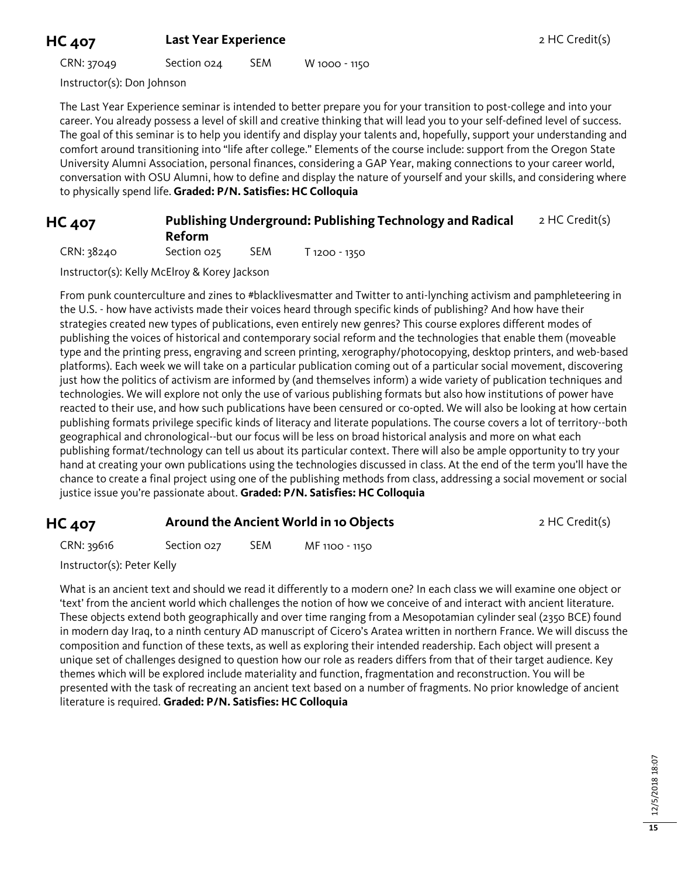# **HC 407 Last Year Experience** 2 HC Credit(s)

CRN: 37049 Section 024 SEM W 1000 - 1150

Instructor(s): Don Johnson

The Last Year Experience seminar is intended to better prepare you for your transition to post-college and into your career. You already possess a level of skill and creative thinking that will lead you to your self-defined level of success. The goal of this seminar is to help you identify and display your talents and, hopefully, support your understanding and comfort around transitioning into "life after college." Elements of the course include: support from the Oregon State University Alumni Association, personal finances, considering a GAP Year, making connections to your career world, conversation with OSU Alumni, how to define and display the nature of yourself and your skills, and considering where to physically spend life. **Graded: P/N. Satisfies: HC Colloquia** 

#### **HC 407 Publishing Underground: Publishing Technology and Radical Reform** 2 HC Credit(s)

CRN: 38240 Section 025 SEM T 1200 - 1350

Instructor(s): Kelly McElroy & Korey Jackson

From punk counterculture and zines to #blacklivesmatter and Twitter to anti-lynching activism and pamphleteering in the U.S. - how have activists made their voices heard through specific kinds of publishing? And how have their strategies created new types of publications, even entirely new genres? This course explores different modes of publishing the voices of historical and contemporary social reform and the technologies that enable them (moveable type and the printing press, engraving and screen printing, xerography/photocopying, desktop printers, and web-based platforms). Each week we will take on a particular publication coming out of a particular social movement, discovering just how the politics of activism are informed by (and themselves inform) a wide variety of publication techniques and technologies. We will explore not only the use of various publishing formats but also how institutions of power have reacted to their use, and how such publications have been censured or co-opted. We will also be looking at how certain publishing formats privilege specific kinds of literacy and literate populations. The course covers a lot of territory--both geographical and chronological--but our focus will be less on broad historical analysis and more on what each publishing format/technology can tell us about its particular context. There will also be ample opportunity to try your hand at creating your own publications using the technologies discussed in class. At the end of the term you'll have the chance to create a final project using one of the publishing methods from class, addressing a social movement or social justice issue you're passionate about. **Graded: P/N. Satisfies: HC Colloquia** 

# **HC 407 Around the Ancient World in 10 Objects** 2 HC Credit(s)

CRN: 39616 Section 027 SEM MF 1100 - 1150

Instructor(s): Peter Kelly

What is an ancient text and should we read it differently to a modern one? In each class we will examine one object or 'text' from the ancient world which challenges the notion of how we conceive of and interact with ancient literature. These objects extend both geographically and over time ranging from a Mesopotamian cylinder seal (2350 BCE) found in modern day Iraq, to a ninth century AD manuscript of Cicero's Aratea written in northern France. We will discuss the composition and function of these texts, as well as exploring their intended readership. Each object will present a unique set of challenges designed to question how our role as readers differs from that of their target audience. Key themes which will be explored include materiality and function, fragmentation and reconstruction. You will be presented with the task of recreating an ancient text based on a number of fragments. No prior knowledge of ancient literature is required. **Graded: P/N. Satisfies: HC Colloquia** 

> 12/5/2018 18:07 12/5/2018 18:07 **15**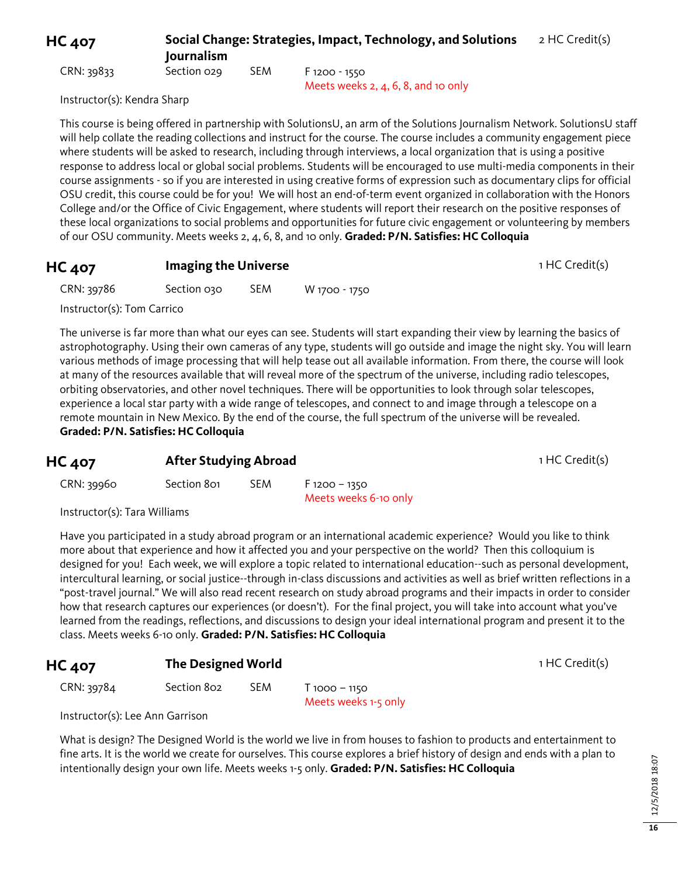**HC 407 Social Change: Strategies, Impact, Technology, and Solutions Journalism** 2 HC Credit(s)

CRN: 39833 Section 029 SEM F 1200 - 1550 Meets weeks 2, 4, 6, 8, and 10 only

Instructor(s): Kendra Sharp

This course is being offered in partnership with SolutionsU, an arm of the Solutions Journalism Network. SolutionsU staff will help collate the reading collections and instruct for the course. The course includes a community engagement piece where students will be asked to research, including through interviews, a local organization that is using a positive response to address local or global social problems. Students will be encouraged to use multi-media components in their course assignments - so if you are interested in using creative forms of expression such as documentary clips for official OSU credit, this course could be for you! We will host an end-of-term event organized in collaboration with the Honors College and/or the Office of Civic Engagement, where students will report their research on the positive responses of these local organizations to social problems and opportunities for future civic engagement or volunteering by members of our OSU community. Meets weeks 2, 4, 6, 8, and 10 only. **Graded: P/N. Satisfies: HC Colloquia** 

# **HC 407 Imaging the Universe** 1 **HC 407 IMC Credit(s)**

CRN: 39786 Section 030 SEM W 1700 - 1750

Instructor(s): Tom Carrico

The universe is far more than what our eyes can see. Students will start expanding their view by learning the basics of astrophotography. Using their own cameras of any type, students will go outside and image the night sky. You will learn various methods of image processing that will help tease out all available information. From there, the course will look at many of the resources available that will reveal more of the spectrum of the universe, including radio telescopes, orbiting observatories, and other novel techniques. There will be opportunities to look through solar telescopes, experience a local star party with a wide range of telescopes, and connect to and image through a telescope on a remote mountain in New Mexico. By the end of the course, the full spectrum of the universe will be revealed. **Graded: P/N. Satisfies: HC Colloquia** 

# **HC 407 After Studying Abroad** 1 HC Credit(s)

CRN: 39960 Section 801 SEM F 1200 – 1350

Meets weeks 6-10 only

Instructor(s): Tara Williams

Have you participated in a study abroad program or an international academic experience? Would you like to think more about that experience and how it affected you and your perspective on the world? Then this colloquium is designed for you! Each week, we will explore a topic related to international education--such as personal development, intercultural learning, or social justice--through in-class discussions and activities as well as brief written reflections in a "post-travel journal." We will also read recent research on study abroad programs and their impacts in order to consider how that research captures our experiences (or doesn't). For the final project, you will take into account what you've learned from the readings, reflections, and discussions to design your ideal international program and present it to the class. Meets weeks 6-10 only. **Graded: P/N. Satisfies: HC Colloquia** 

# **HC 407 The Designed World 1 HC Credit(s) 1 HC Credit(s)**

CRN: 39784 Section 802 SEM T 1000 – 1150

Meets weeks 1-5 only

Instructor(s): Lee Ann Garrison

What is design? The Designed World is the world we live in from houses to fashion to products and entertainment to fine arts. It is the world we create for ourselves. This course explores a brief history of design and ends with a plan to intentionally design your own life. Meets weeks 1-5 only. **Graded: P/N. Satisfies: HC Colloquia**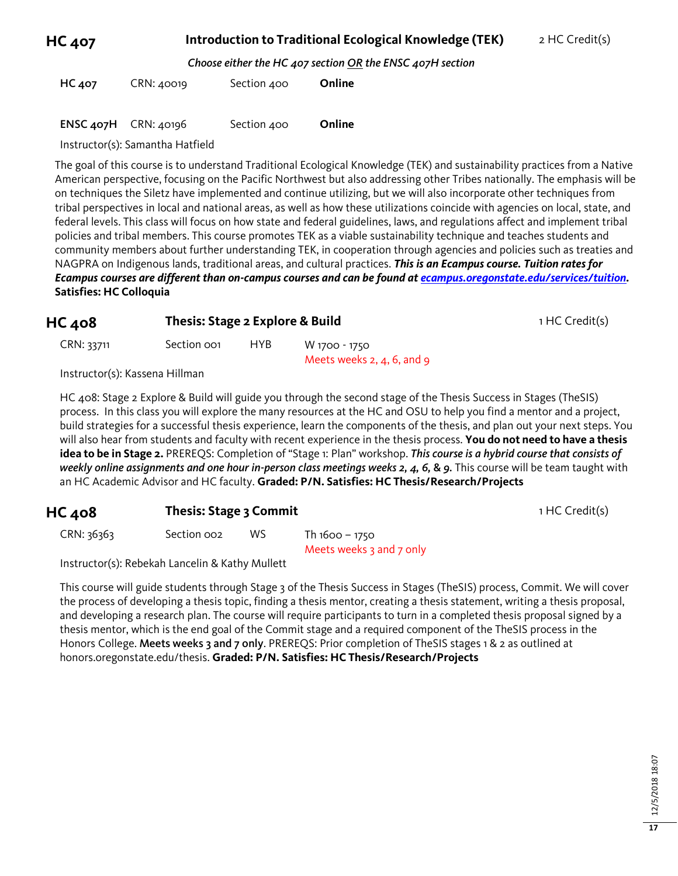**HC 407 Introduction to Traditional Ecological Knowledge (TEK)** 2 HC Credit(s)

*Choose either the HC 407 section OR the ENSC 407H section*

HC 407 CRN: 40019 Section 400 **Online**

|  | ENSC $407H$ CRN: $40196$ | Section 400 | Online |
|--|--------------------------|-------------|--------|
|--|--------------------------|-------------|--------|

Instructor(s): Samantha Hatfield

The goal of this course is to understand Traditional Ecological Knowledge (TEK) and sustainability practices from a Native American perspective, focusing on the Pacific Northwest but also addressing other Tribes nationally. The emphasis will be on techniques the Siletz have implemented and continue utilizing, but we will also incorporate other techniques from tribal perspectives in local and national areas, as well as how these utilizations coincide with agencies on local, state, and federal levels. This class will focus on how state and federal guidelines, laws, and regulations affect and implement tribal policies and tribal members. This course promotes TEK as a viable sustainability technique and teaches students and community members about further understanding TEK, in cooperation through agencies and policies such as treaties and NAGPRA on Indigenous lands, traditional areas, and cultural practices. *This is an Ecampus course. Tuition rates for Ecampus courses are different than on-campus courses and can be found at [ecampus.oregonstate.edu/services/tuition.](https://ecampus.oregonstate.edu/services/tuition/)*  **Satisfies: HC Colloquia**

| <b>HC 408</b> |                         | Thesis: Stage 2 Explore & Build |                                             |  |
|---------------|-------------------------|---------------------------------|---------------------------------------------|--|
| CRN: 33711    | Section oo <sub>1</sub> | HYB.                            | W 1700 - 1750<br>Meets weeks 2, 4, 6, and 9 |  |

Instructor(s): Kassena Hillman

HC 408: Stage 2 Explore & Build will guide you through the second stage of the Thesis Success in Stages (TheSIS) process. In this class you will explore the many resources at the HC and OSU to help you find a mentor and a project, build strategies for a successful thesis experience, learn the components of the thesis, and plan out your next steps. You will also hear from students and faculty with recent experience in the thesis process. **You do not need to have a thesis idea to be in Stage 2.** PREREQS: Completion of "Stage 1: Plan" workshop. *This course is a hybrid course that consists of weekly online assignments and one hour in-person class meetings weeks 2, 4, 6, & 9. This course will be team taught with* an HC Academic Advisor and HC faculty. **Graded: P/N. Satisfies: HC Thesis/Research/Projects** 

### **HC 408 Thesis: Stage 3 Commit** 1 HC Credit(s)

CRN: 36363 Section 002 WS Th 1600 – 1750

Meets weeks 3 and 7 only

Instructor(s): Rebekah Lancelin & Kathy Mullett

This course will guide students through Stage 3 of the Thesis Success in Stages (TheSIS) process, Commit. We will cover the process of developing a thesis topic, finding a thesis mentor, creating a thesis statement, writing a thesis proposal, and developing a research plan. The course will require participants to turn in a completed thesis proposal signed by a thesis mentor, which is the end goal of the Commit stage and a required component of the TheSIS process in the Honors College. Meets weeks 3 and 7 only. PREREQS: Prior completion of TheSIS stages 1 & 2 as outlined at honors.oregonstate.edu/thesis. **Graded: P/N. Satisfies: HC Thesis/Research/Projects**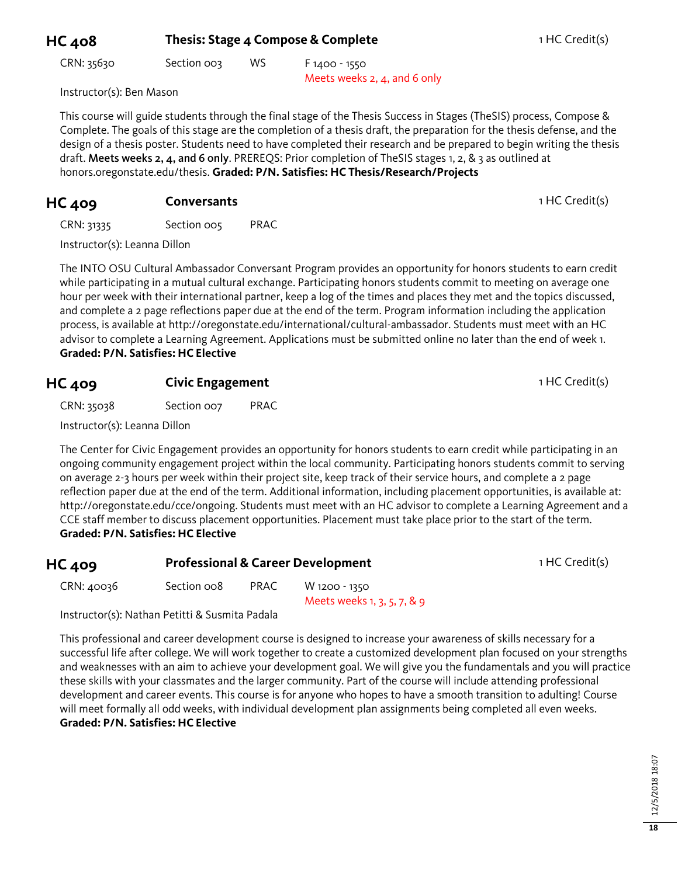| <b>HC 408</b> | Thesis: Stage 4 Compose & Complete |    |                              | 1 HC Credit(s) |
|---------------|------------------------------------|----|------------------------------|----------------|
| CRN: 35630    | Section oos                        | WS | $F1400 - 1550$               |                |
|               |                                    |    | Meets weeks 2, 4, and 6 only |                |

Instructor(s): Ben Mason

This course will guide students through the final stage of the Thesis Success in Stages (TheSIS) process, Compose & Complete. The goals of this stage are the completion of a thesis draft, the preparation for the thesis defense, and the design of a thesis poster. Students need to have completed their research and be prepared to begin writing the thesis draft. Meets weeks 2, 4, and 6 only. PREREQS: Prior completion of TheSIS stages 1, 2, & 3 as outlined at honors.oregonstate.edu/thesis. **Graded: P/N. Satisfies: HC Thesis/Research/Projects** 

# **HC 409 Conversants Conversants Conversants 1 HC Credit(s)**

CRN: 31335 Section 005 PRAC

Instructor(s): Leanna Dillon

The INTO OSU Cultural Ambassador Conversant Program provides an opportunity for honors students to earn credit while participating in a mutual cultural exchange. Participating honors students commit to meeting on average one hour per week with their international partner, keep a log of the times and places they met and the topics discussed, and complete a 2 page reflections paper due at the end of the term. Program information including the application process, is available at http://oregonstate.edu/international/cultural-ambassador. Students must meet with an HC advisor to complete a Learning Agreement. Applications must be submitted online no later than the end of week 1. **Graded: P/N. Satisfies: HC Elective** 

# **HC 409 Civic Engagement COVID 2009 Civic Engagement COVID 2009 COVID 2009 COVID 2009 COVID 2009 COVID 2009 COVID 2009 COVID 2009 COVID 2009 COVID 2009 COVID 2009 COVID 2009 COVID 2009 COVID**

CRN: 35038 Section 007 PRAC

Instructor(s): Leanna Dillon

The Center for Civic Engagement provides an opportunity for honors students to earn credit while participating in an ongoing community engagement project within the local community. Participating honors students commit to serving on average 2-3 hours per week within their project site, keep track of their service hours, and complete a 2 page reflection paper due at the end of the term. Additional information, including placement opportunities, is available at: http://oregonstate.edu/cce/ongoing. Students must meet with an HC advisor to complete a Learning Agreement and a CCE staff member to discuss placement opportunities. Placement must take place prior to the start of the term. **Graded: P/N. Satisfies: HC Elective** 

| <b>HC 409</b> | <b>Professional &amp; Career Development</b> |      |                                              | 1 HC Credit(s) |
|---------------|----------------------------------------------|------|----------------------------------------------|----------------|
| CRN: 40036    | Section oo8                                  | PRAC | W 1200 - 1350<br>Meets weeks 1, 3, 5, 7, & 9 |                |

Instructor(s): Nathan Petitti & Susmita Padala

This professional and career development course is designed to increase your awareness of skills necessary for a successful life after college. We will work together to create a customized development plan focused on your strengths and weaknesses with an aim to achieve your development goal. We will give you the fundamentals and you will practice these skills with your classmates and the larger community. Part of the course will include attending professional development and career events. This course is for anyone who hopes to have a smooth transition to adulting! Course will meet formally all odd weeks, with individual development plan assignments being completed all even weeks. **Graded: P/N. Satisfies: HC Elective** 

**18**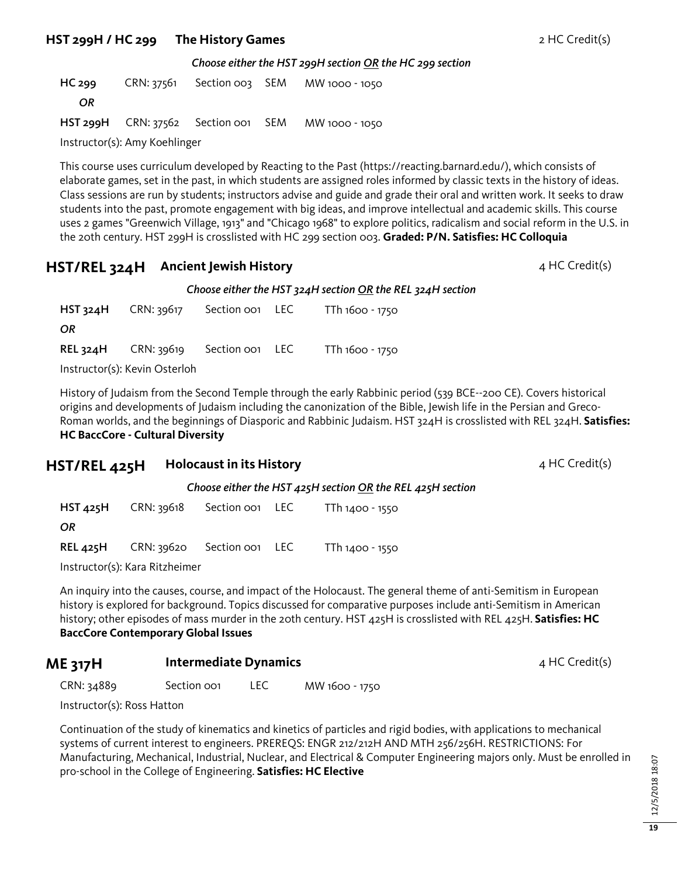#### **HST 299H / HC 299** The History Games 2 HC Credit(s)

*Choose either the HST 299H section OR the HC 299 section*

HC 299 CRN: 37561 Section 003 SEM MW 1000 - 1050 *OR*

HST 299H CRN: 37562 Section 001 SEM MW 1000 - 1050

Instructor(s): Amy Koehlinger

This course uses curriculum developed by Reacting to the Past (https://reacting.barnard.edu/), which consists of elaborate games, set in the past, in which students are assigned roles informed by classic texts in the history of ideas. Class sessions are run by students; instructors advise and guide and grade their oral and written work. It seeks to draw students into the past, promote engagement with big ideas, and improve intellectual and academic skills. This course uses 2 games "Greenwich Village, 1913" and "Chicago 1968" to explore politics, radicalism and social reform in the U.S. in the 20th century. HST 299H is crosslisted with HC 299 section 003. **Graded: P/N. Satisfies: HC Colloquia** 

# HST/REL 324H Ancient Jewish History<br>
4 HC Credit(s)

*Choose either the HST 324H section OR the REL 324H section*

HST 324H CRN: 39617 Section 001 LEC TTh 1600 - 1750 *OR* REL 324H CRN: 39619 Section 001 LEC TTh 1600 - 1750 Instructor(s): Kevin Osterloh

History of Judaism from the Second Temple through the early Rabbinic period (539 BCE--200 CE). Covers historical origins and developments of Judaism including the canonization of the Bible, Jewish life in the Persian and Greco-Roman worlds, and the beginnings of Diasporic and Rabbinic Judaism. HST 324H is crosslisted with REL 324H. **Satisfies: HC BaccCore - Cultural Diversity**

#### **HST/REL 425H Holocaust in its History ADD 14 HC Credit(s) 4 HC Credit(s)**

*Choose either the HST 425H section OR the REL 425H section*

| $HST$ 425H           | CRN: 39618 | Section oo LEC  | TTh 1400 - 1550 |
|----------------------|------------|-----------------|-----------------|
| OR                   |            |                 |                 |
| <b>REL 425H</b><br>. | CRN: 39620 | Section oo1 LEC | TTh 1400 - 1550 |

Instructor(s): Kara Ritzheimer

An inquiry into the causes, course, and impact of the Holocaust. The general theme of anti-Semitism in European history is explored for background. Topics discussed for comparative purposes include anti-Semitism in American history; other episodes of mass murder in the 20th century. HST 425H is crosslisted with REL 425H. **Satisfies: HC BaccCore Contemporary Global Issues**

#### **ME 317H Intermediate Dynamics Intermediate Dynamics** 4 HC Credit(s)

CRN: 34889 Section 001 LEC MW 1600 - 1750

Instructor(s): Ross Hatton

Continuation of the study of kinematics and kinetics of particles and rigid bodies, with applications to mechanical systems of current interest to engineers. PREREQS: ENGR 212/212H AND MTH 256/256H. RESTRICTIONS: For Manufacturing, Mechanical, Industrial, Nuclear, and Electrical & Computer Engineering majors only. Must be enrolled in pro-school in the College of Engineering. **Satisfies: HC Elective**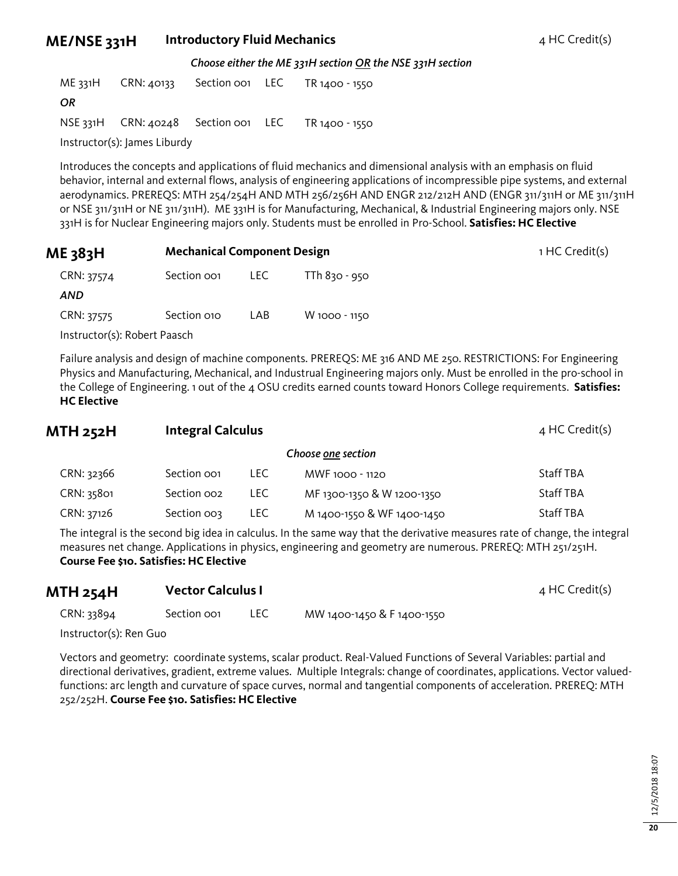#### **ME/NSE 331H Introductory Fluid Mechanics** 4 HC Credit(s)

*Choose either the ME 331H section OR the NSE 331H section*

ME 331H CRN: 40133 Section 001 LEC TR 1400 - 1550

*OR*

NSE 331H CRN: 40248 Section 001 LEC TR 1400 - 1550

Instructor(s): James Liburdy

Introduces the concepts and applications of fluid mechanics and dimensional analysis with an emphasis on fluid behavior, internal and external flows, analysis of engineering applications of incompressible pipe systems, and external aerodynamics. PREREQS: MTH 254/254H AND MTH 256/256H AND ENGR 212/212H AND (ENGR 311/311H or ME 311/311H or NSE 311/311H or NE 311/311H). ME 331H is for Manufacturing, Mechanical, & Industrial Engineering majors only. NSE 331H is for Nuclear Engineering majors only. Students must be enrolled in Pro-School. **Satisfies: HC Elective**

| <b>Mechanical Component Design</b><br>ME 383H |             |     | 1 HC Credit(s) |  |
|-----------------------------------------------|-------------|-----|----------------|--|
| CRN: 37574                                    | Section oo1 | LEC | TTh 830 - 950  |  |
| AND                                           |             |     |                |  |
| CRN: 37575                                    | Section 010 | LAB | W 1000 - 1150  |  |
| Instructor(s): Robert Paasch                  |             |     |                |  |

Failure analysis and design of machine components. PREREQS: ME 316 AND ME 250. RESTRICTIONS: For Engineering Physics and Manufacturing, Mechanical, and Industrual Engineering majors only. Must be enrolled in the pro-school in the College of Engineering. 1 out of the 4 OSU credits earned counts toward Honors College requirements. **Satisfies: HC Elective** 

| MTH 252H   | <b>Integral Calculus</b> | $4$ HC Credit(s) |                            |                  |
|------------|--------------------------|------------------|----------------------------|------------------|
|            |                          |                  | Choose one section         |                  |
| CRN: 32366 | Section oo1              | LEC.             | MWF 1000 - 1120            | <b>Staff TBA</b> |
| CRN: 35801 | Section oo <sub>2</sub>  | LEC.             | MF 1300-1350 & W 1200-1350 | <b>Staff TBA</b> |
| CRN: 37126 | Section 003              | LEC.             | M 1400-1550 & WF 1400-1450 | <b>Staff TBA</b> |

The integral is the second big idea in calculus. In the same way that the derivative measures rate of change, the integral measures net change. Applications in physics, engineering and geometry are numerous. PREREQ: MTH 251/251H. **Course Fee \$10. Satisfies: HC Elective** 

| <b>MTH 254H</b> | <b>Vector Calculus I</b> |      |                            | 4 HC Credit(s) |
|-----------------|--------------------------|------|----------------------------|----------------|
| CRN: 33894      | Section oo1              | LEC. | MW 1400-1450 & F 1400-1550 |                |

Instructor(s): Ren Guo

Vectors and geometry: coordinate systems, scalar product. Real-Valued Functions of Several Variables: partial and directional derivatives, gradient, extreme values. Multiple Integrals: change of coordinates, applications. Vector valuedfunctions: arc length and curvature of space curves, normal and tangential components of acceleration. PREREQ: MTH 252/252H. **Course Fee \$10. Satisfies: HC Elective** 

**20**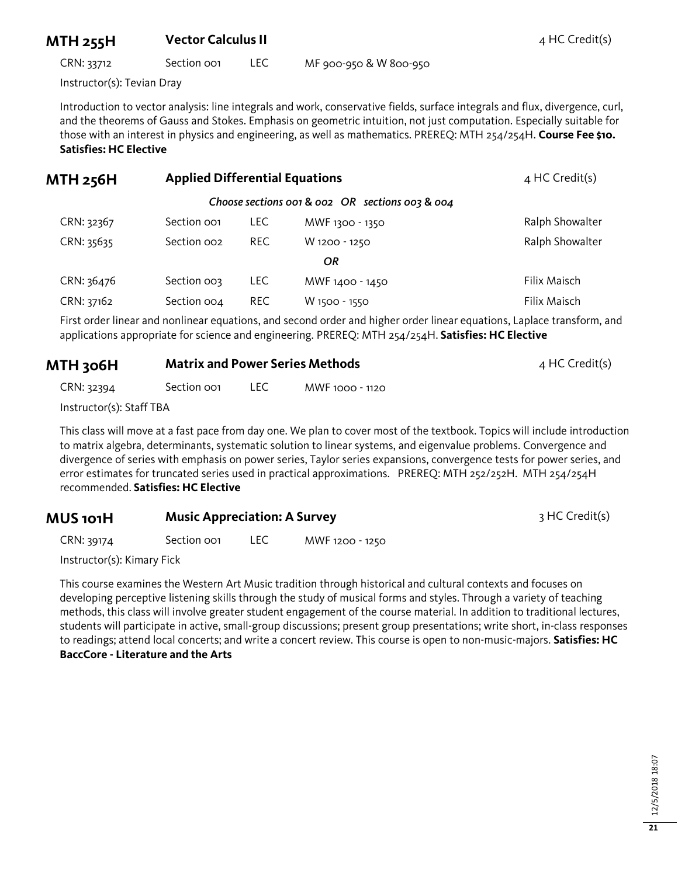#### **MTH 255H Vector Calculus II Vector Calculus II Vector Calculus II A HC Credit(s)**

CRN: 33712 Section 001 LEC MF 900-950 & W 800-950

Instructor(s): Tevian Dray

Introduction to vector analysis: line integrals and work, conservative fields, surface integrals and flux, divergence, curl, and the theorems of Gauss and Stokes. Emphasis on geometric intuition, not just computation. Especially suitable for those with an interest in physics and engineering, as well as mathematics. PREREQ: MTH 254/254H. **Course Fee \$10. Satisfies: HC Elective** 

| MTH 256H   | <b>Applied Differential Equations</b> |            |                                                 | 4 HC Credit(s)  |
|------------|---------------------------------------|------------|-------------------------------------------------|-----------------|
|            |                                       |            | Choose sections ooi & ooz OR sections ooz & oo4 |                 |
| CRN: 32367 | Section oo1                           | LEC.       | MWF 1300 - 1350                                 | Ralph Showalter |
| CRN: 35635 | Section oo <sub>2</sub>               | REC.       | W 1200 - 1250                                   | Ralph Showalter |
|            |                                       |            | OR                                              |                 |
| CRN: 36476 | Section oos                           | LEC.       | MWF 1400 - 1450                                 | Filix Maisch    |
| CRN: 37162 | Section oo4                           | <b>REC</b> | W 1500 - 1550                                   | Filix Maisch    |

First order linear and nonlinear equations, and second order and higher order linear equations, Laplace transform, and applications appropriate for science and engineering. PREREQ: MTH 254/254H. **Satisfies: HC Elective** 

| <b>MTH 306H</b> | <b>Matrix and Power Series Methods</b> |      |                 | 4 HC Credit(s) |
|-----------------|----------------------------------------|------|-----------------|----------------|
| CRN: 32394      | Section oo <sub>1</sub>                | LEC. | MWF 1000 - 1120 |                |

Instructor(s): Staff TBA

This class will move at a fast pace from day one. We plan to cover most of the textbook. Topics will include introduction to matrix algebra, determinants, systematic solution to linear systems, and eigenvalue problems. Convergence and divergence of series with emphasis on power series, Taylor series expansions, convergence tests for power series, and error estimates for truncated series used in practical approximations. PREREQ: MTH 252/252H. MTH 254/254H recommended. **Satisfies: HC Elective** 

#### **MUS 101H Music Appreciation: A Survey** 3 HC Credit(s)

CRN: 39174 Section 001 LEC MWF 1200 - 1250

Instructor(s): Kimary Fick

This course examines the Western Art Music tradition through historical and cultural contexts and focuses on developing perceptive listening skills through the study of musical forms and styles. Through a variety of teaching methods, this class will involve greater student engagement of the course material. In addition to traditional lectures, students will participate in active, small-group discussions; present group presentations; write short, in-class responses to readings; attend local concerts; and write a concert review. This course is open to non-music-majors. **Satisfies: HC BaccCore - Literature and the Arts**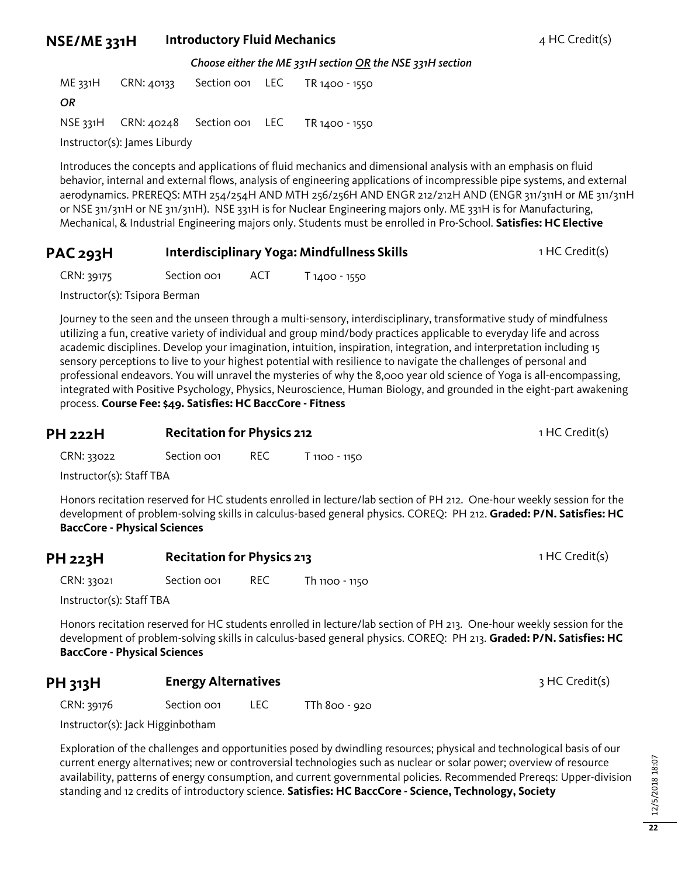#### **NSE/ME 331H Introductory Fluid Mechanics** A HC Credit(s)

*Choose either the ME 331H section OR the NSE 331H section*

ME 331H CRN: 40133 Section 001 LEC TR 1400 - 1550

*OR*

NSE 331H CRN: 40248 Section 001 LEC TR 1400 - 1550

Instructor(s): James Liburdy

Introduces the concepts and applications of fluid mechanics and dimensional analysis with an emphasis on fluid behavior, internal and external flows, analysis of engineering applications of incompressible pipe systems, and external aerodynamics. PREREQS: MTH 254/254H AND MTH 256/256H AND ENGR 212/212H AND (ENGR 311/311H or ME 311/311H or NSE 311/311H or NE 311/311H). NSE 331H is for Nuclear Engineering majors only. ME 331H is for Manufacturing, Mechanical, & Industrial Engineering majors only. Students must be enrolled in Pro-School. **Satisfies: HC Elective**

# **PAC 293H Interdisciplinary Yoga: Mindfullness Skills** 1 HC Credit(s)

CRN: 39175 Section 001 ACT T 1400 - 1550

Instructor(s): Tsipora Berman

Journey to the seen and the unseen through a multi-sensory, interdisciplinary, transformative study of mindfulness utilizing a fun, creative variety of individual and group mind/body practices applicable to everyday life and across academic disciplines. Develop your imagination, intuition, inspiration, integration, and interpretation including 15 sensory perceptions to live to your highest potential with resilience to navigate the challenges of personal and professional endeavors. You will unravel the mysteries of why the 8,000 year old science of Yoga is all-encompassing, integrated with Positive Psychology, Physics, Neuroscience, Human Biology, and grounded in the eight-part awakening process. **Course Fee: \$49. Satisfies: HC BaccCore - Fitness**

| <b>PH 222H</b>           | <b>Recitation for Physics 212</b> |      |               | 1 HC Credit(s) |
|--------------------------|-----------------------------------|------|---------------|----------------|
| CRN: 33022               | Section oo1                       | REC. | T 1100 - 1150 |                |
| Instructor(s): Staff TBA |                                   |      |               |                |

Honors recitation reserved for HC students enrolled in lecture/lab section of PH 212. One-hour weekly session for the development of problem-solving skills in calculus-based general physics. COREQ: PH 212. **Graded: P/N. Satisfies: HC BaccCore - Physical Sciences**

| <b>PH 223H</b> | <b>Recitation for Physics 213</b> |            |                | 1 HC Credit(s) |
|----------------|-----------------------------------|------------|----------------|----------------|
| CRN: 33021     | Section oo <sub>1</sub>           | <b>REC</b> | Th 1100 - 1150 |                |

Instructor(s): Staff TBA

Honors recitation reserved for HC students enrolled in lecture/lab section of PH 213. One-hour weekly session for the development of problem-solving skills in calculus-based general physics. COREQ: PH 213. **Graded: P/N. Satisfies: HC BaccCore - Physical Sciences**

#### **PH 313H Energy Alternatives Energy Alternatives Energy Alternatives 1 Energy Alternatives 1 Energy Alternatives**

CRN: 39176 Section 001 LEC TTh 800 - 920

Instructor(s): Jack Higginbotham

Exploration of the challenges and opportunities posed by dwindling resources; physical and technological basis of our current energy alternatives; new or controversial technologies such as nuclear or solar power; overview of resource availability, patterns of energy consumption, and current governmental policies. Recommended Prereqs: Upper-division standing and 12 credits of introductory science. **Satisfies: HC BaccCore - Science, Technology, Society**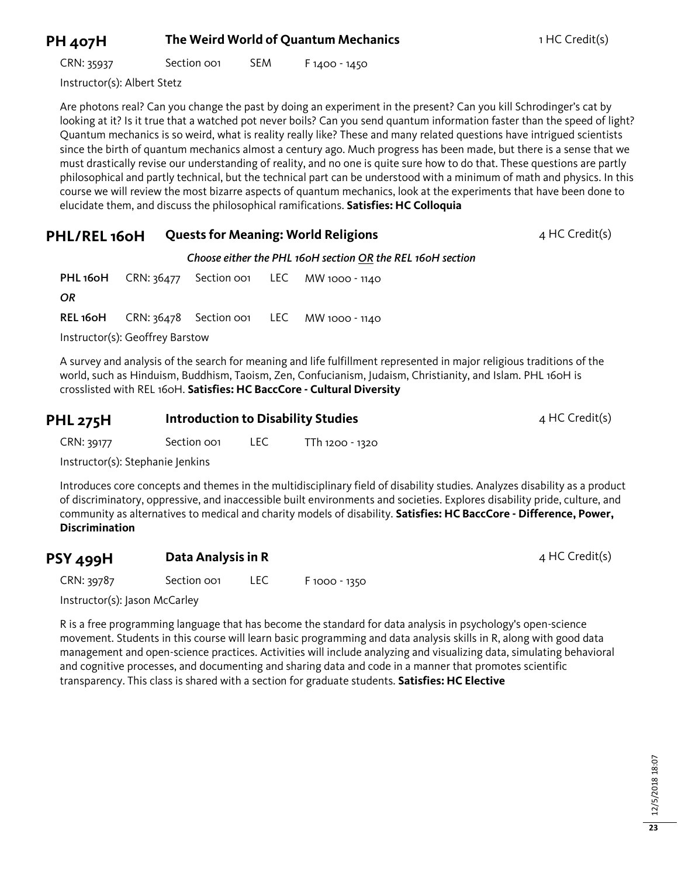# **PH 407H The Weird World of Quantum Mechanics** 1 HC Credit(s)

CRN: 35937 Section 001 SEM F 1400 - 1450

Instructor(s): Albert Stetz

Are photons real? Can you change the past by doing an experiment in the present? Can you kill Schrodinger's cat by looking at it? Is it true that a watched pot never boils? Can you send quantum information faster than the speed of light? Quantum mechanics is so weird, what is reality really like? These and many related questions have intrigued scientists since the birth of quantum mechanics almost a century ago. Much progress has been made, but there is a sense that we must drastically revise our understanding of reality, and no one is quite sure how to do that. These questions are partly philosophical and partly technical, but the technical part can be understood with a minimum of math and physics. In this course we will review the most bizarre aspects of quantum mechanics, look at the experiments that have been done to elucidate them, and discuss the philosophical ramifications. **Satisfies: HC Colloquia** 

#### **PHL/REL 160H Quests for Meaning: World Religions** 4 HC Credit(s)

*Choose either the PHL 160H section OR the REL 160H section*

PHL 160H CRN: 36477 Section 001 LEC MW 1000 - 1140 *OR* REL 160H CRN: 36478 Section 001 LEC MW 1000 - 1140 Instructor(s): Geoffrey Barstow

A survey and analysis of the search for meaning and life fulfillment represented in major religious traditions of the world, such as Hinduism, Buddhism, Taoism, Zen, Confucianism, Judaism, Christianity, and Islam. PHL 160H is crosslisted with REL 160H. **Satisfies: HC BaccCore - Cultural Diversity**

# **PHL 275H Introduction to Disability Studies According to A HC Credit(s)**

CRN: 39177 Section 001 LEC TTh 1200 - 1320

Instructor(s): Stephanie Jenkins

Introduces core concepts and themes in the multidisciplinary field of disability studies. Analyzes disability as a product of discriminatory, oppressive, and inaccessible built environments and societies. Explores disability pride, culture, and community as alternatives to medical and charity models of disability. **Satisfies: HC BaccCore - Difference, Power, Discrimination**

## **PSY 499H Data Analysis in R** 4 HC Credit(s)

CRN: 39787 Section 001 LEC F 1000 - 1350

Instructor(s): Jason McCarley

R is a free programming language that has become the standard for data analysis in psychology's open-science movement. Students in this course will learn basic programming and data analysis skills in R, along with good data management and open-science practices. Activities will include analyzing and visualizing data, simulating behavioral and cognitive processes, and documenting and sharing data and code in a manner that promotes scientific transparency. This class is shared with a section for graduate students. **Satisfies: HC Elective** 

> 12/5/2018 18:07 12/5/2018 18:07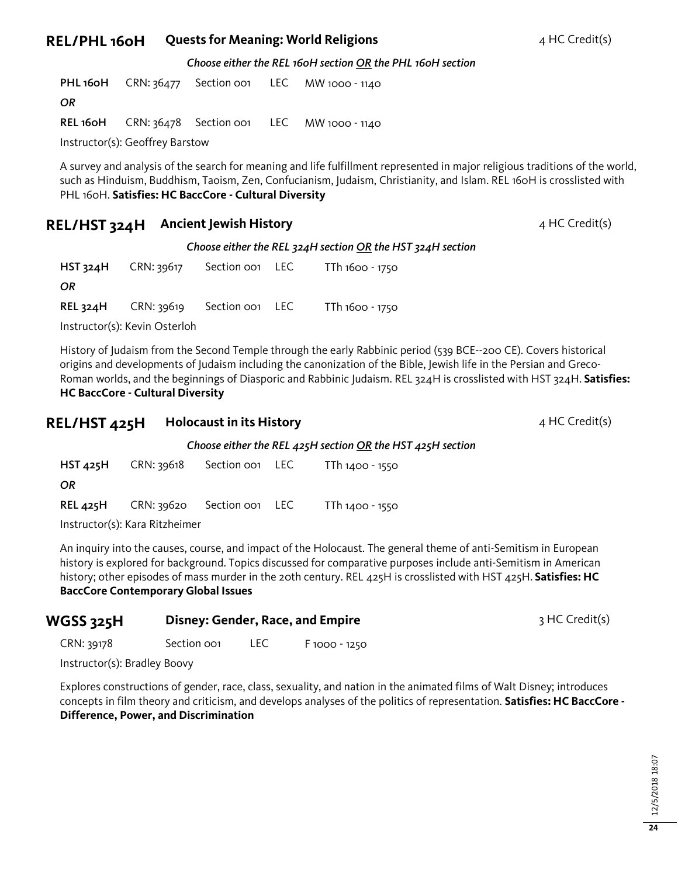# **REL/PHL 160H Quests for Meaning: World Religions** 4 HC Credit(s)

*Choose either the REL 160H section OR the PHL 160H section*

PHL 160H CRN: 36477 Section 001 LEC MW 1000 - 1140

*OR*

REL 160H CRN: 36478 Section 001 LEC MW 1000 - 1140

Instructor(s): Geoffrey Barstow

A survey and analysis of the search for meaning and life fulfillment represented in major religious traditions of the world, such as Hinduism, Buddhism, Taoism, Zen, Confucianism, Judaism, Christianity, and Islam. REL 160H is crosslisted with PHL 160H. **Satisfies: HC BaccCore - Cultural Diversity**

# **REL/HST 324H** Ancient Jewish History<br>
4 HC Credit(s)

#### *Choose either the REL 324H section OR the HST 324H section*

| $HST_324H$ CRN: 39617         |                          | Section oo1 LEC |  | TTh 1600 - 1750 |  |
|-------------------------------|--------------------------|-----------------|--|-----------------|--|
| OR.                           |                          |                 |  |                 |  |
|                               | $REL$ 324H $CRN$ : 39619 | Section oo1 LEC |  | TTh 1600 - 1750 |  |
| Instructor(s): Kevin Osterloh |                          |                 |  |                 |  |

History of Judaism from the Second Temple through the early Rabbinic period (539 BCE--200 CE). Covers historical origins and developments of Judaism including the canonization of the Bible, Jewish life in the Persian and Greco-Roman worlds, and the beginnings of Diasporic and Rabbinic Judaism. REL 324H is crosslisted with HST 324H. **Satisfies: HC BaccCore - Cultural Diversity**

#### **REL/HST 425H Holocaust in its History Allen Equation Act Act Act AC Credit(s)**

*Choose either the REL 425H section OR the HST 425H section*

| HST 425H                       | CRN: 39618                             | Section oo <sub>1</sub> LEC |  | TTh 1400 - 1550 |  |  |
|--------------------------------|----------------------------------------|-----------------------------|--|-----------------|--|--|
| OR.                            |                                        |                             |  |                 |  |  |
|                                | $REL$ 425H $CRN:39620$ Section 001 LEC |                             |  | TTh 1400 - 1550 |  |  |
| Instructor(s): Kara Ritzheimer |                                        |                             |  |                 |  |  |

An inquiry into the causes, course, and impact of the Holocaust. The general theme of anti-Semitism in European history is explored for background. Topics discussed for comparative purposes include anti-Semitism in American history; other episodes of mass murder in the 20th century. REL 425H is crosslisted with HST 425H. **Satisfies: HC BaccCore Contemporary Global Issues**

| WGSS 325H  | Disney: Gender, Race, and Empire |            |               | 3 HC Credit(s) |
|------------|----------------------------------|------------|---------------|----------------|
| CRN: 39178 | Section oo <sub>1</sub>          | <b>LEC</b> | F 1000 - 1250 |                |

Instructor(s): Bradley Boovy

Explores constructions of gender, race, class, sexuality, and nation in the animated films of Walt Disney; introduces concepts in film theory and criticism, and develops analyses of the politics of representation. **Satisfies: HC BaccCore - Difference, Power, and Discrimination**